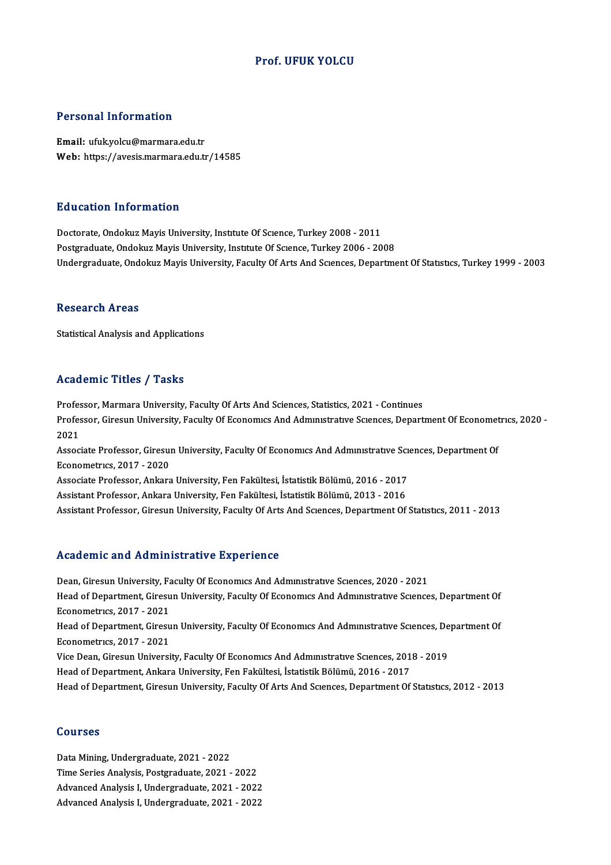#### Prof. UFUK YOLCU

#### Personal Information

Email: ufuk.yolcu@marmara.edu.tr Web: https://avesis.marmara.edu.tr/14585

#### Education Information

Doctorate, Ondokuz Mayis University, Institute Of Science, Turkey 2008 - 2011 Postgraduate, Ondokuz Mayis University, Institute Of Science, Turkey 2006 - 2008 Undergraduate, Ondokuz Mayis University, Faculty Of Arts And Sciences, Department Of Statistics, Turkey 1999 - 2003

#### **Research Areas**

Statistical Analysis and Applications

#### Academic Titles / Tasks

Professor, Marmara University, Faculty Of Arts And Sciences, Statistics, 2021 - Continues Professor, Marmara University, Faculty Of Arts And Sciences, Statistics, 2021 - Continues<br>Professor, Giresun University, Faculty Of Economics And Administrative Sciences, Department Of Econometrics, 2020 -<br>2021 Profes<br>Profes<br>2021 Professor, Giresun University, Faculty Of Economics And Administrative Sciences, Department Of Economet<br>2021<br>Associate Professor, Giresun University, Faculty Of Economics And Administrative Sciences, Department Of<br>Economet 2021<br>Associate Professor, Giresun University, Faculty Of Economics And Administrative Sciences, Department Of<br>Econometrics, 2017 - 2020 Associate Professor, Giresun University, Faculty Of Economics And Administrative Sci<br>Econometrics, 2017 - 2020<br>Associate Professor, Ankara University, Fen Fakültesi, İstatistik Bölümü, 2016 - 2017<br>Assistant Professor, Anka Econometrics, 2017 - 2020<br>Associate Professor, Ankara University, Fen Fakültesi, İstatistik Bölümü, 2016 - 2017<br>Assistant Professor, Ankara University, Fen Fakültesi, İstatistik Bölümü, 2013 - 2016<br>Assistant Professor, Gir Assistant Professor, Ankara University, Fen Fakültesi, İstatistik Bölümü, 2013 - 2016<br>Assistant Professor, Giresun University, Faculty Of Arts And Scıences, Department Of Statıstıcs, 2011 - 2013

#### Academic and Administrative Experience

Dean, Giresun University, Faculty Of Economics And Administrative Sciences, 2020 - 2021 Head of Department, Giresun University, Faculty Of Economics And Administrative Sciences, Department Of **Dean, Giresun University, Fa<br>Head of Department, Giresu<br>Econometrics, 2017 - 2021<br>Head of Department, Giresu** Head of Department, Giresun University, Faculty Of Economics And Administrative Sciences, Department Of Econometrics, 2017 - 2021 Econometrics, 2017 - 2021<br>Head of Department, Giresu<br>Econometrics, 2017 - 2021<br>Vice Dean, Giresun Universi Head of Department, Giresun University, Faculty Of Economics And Administrative Sciences, De<br>Econometrics, 2017 - 2021<br>Vice Dean, Giresun University, Faculty Of Economics And Administrative Sciences, 2018 - 2019<br>Head of De Econometrics, 2017 - 2021<br>Vice Dean, Giresun University, Faculty Of Economics And Administrative Sciences, 201<br>Head of Department, Ankara University, Fen Fakültesi, İstatistik Bölümü, 2016 - 2017<br>Head of Department, Giresu Head of Department, Ankara University, Fen Fakültesi, İstatistik Bölümü, 2016 - 2017<br>Head of Department, Giresun University, Faculty Of Arts And Scıences, Department Of Statıstıcs, 2012 - 2013

#### Courses

Data Mining, Undergraduate, 2021 - 2022 Time Series Analysis, Postgraduate, 2021 - 2022 Advanced Analysis I, Undergraduate, 2021 - 2022 AdvancedAnalysis I,Undergraduate,2021 -2022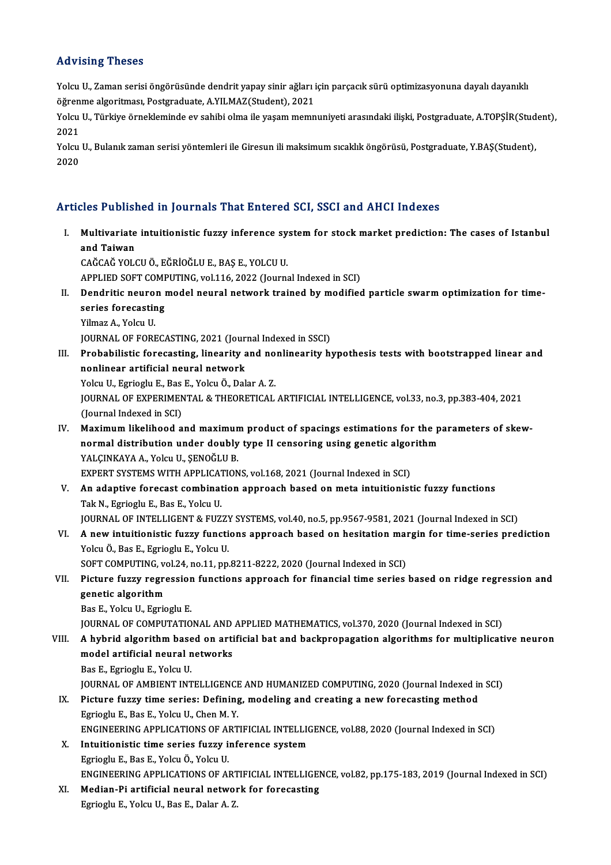#### Advising Theses

Advising Theses<br>Yolcu U., Zaman serisi öngörüsünde dendrit yapay sinir ağları için parçacık sürü optimizasyonuna dayalı dayanıklı<br>Öğrenme algeritmesi, Pestaredusta, A VII MAZ(Student), 2021 rıa visiniş "risses"<br>Yolcu U., Zaman serisi öngörüsünde dendrit yapay sinir ağları i<br>öğrenme algoritması, Postgraduate, A.YILMAZ(Student), 2021<br>Yolcu U. Türkiye örnekleminde ev sebibi elme ile yaşam memn Yolcu U., Zaman serisi öngörüsünde dendrit yapay sinir ağları için parçacık sürü optimizasyonuna dayalı dayanıklı<br>öğrenme algoritması, Postgraduate, A.YILMAZ(Student), 2021<br>Yolcu U., Türkiye örnekleminde ev sahibi olma ile

öğren<br>Yolcu<br>2021 Yolcu U., Türkiye örnekleminde ev sahibi olma ile yaşam memnuniyeti arasındaki ilişki, Postgraduate, A.TOPŞİR(Stud<br>2021<br>Yolcu U., Bulanık zaman serisi yöntemleri ile Giresun ili maksimum sıcaklık öngörüsü, Postgraduate, Y.

2021<br>Yolcu U., Bulanık zaman serisi yöntemleri ile Giresun ili maksimum sıcaklık öngörüsü, Postgraduate, Y.BAŞ(Student),<br>2020

#### Articles Published in Journals That Entered SCI, SSCI and AHCI Indexes

I. Multivariate intuitionistic fuzzy inference system for stock market prediction: The cases of Istanbul<br>I. Multivariate intuitionistic fuzzy inference system for stock market prediction: The cases of Istanbul<br>and Taiwan Acc 1 aches<br>Multivariate<br>and Taiwan<br>CAČCAČ VOL and Taiwan<br>CAĞCAĞ YOLCU Ö., EĞRİOĞLU E., BAŞ E., YOLCU U. and Taiwan<br>CAĞCAĞ YOLCU Ö., EĞRİOĞLU E., BAŞ E., YOLCU U.<br>APPLIED SOFT COMPUTING, vol.116, 2022 (Journal Indexed in SCI)<br>Dondritis neuron model neural network trained by modifies

CAĞCAĞ YOLCU Ö., EĞRİOĞLU E., BAŞ E., YOLCU U.<br>APPLIED SOFT COMPUTING, vol.116, 2022 (Journal Indexed in SCI)<br>II. Dendritic neuron model neural network trained by modified particle swarm optimization for time-<br>series f APPLIED SOFT COME<br>Dendritic neuron<br>series forecasting<br><sup>Vilmaz</sup> A. Yoku H **Dendritic neuro<br>series forecastir<br>Yilmaz A., Yolcu U.<br>JOUPMAL OF FOPI** series forecasting<br>1990 - Yilmaz A., Yolcu U.<br>JOURNAL OF FORECASTING, 2021 (Journal Indexed in SSCI)

- Yilmaz A., Yolcu U.<br>JOURNAL OF FORECASTING, 2021 (Journal Indexed in SSCI)<br>III. Probabilistic forecasting, linearity and nonlinearity hypothesis tests with bootstrapped linear and<br>nonlinear artificial noural natuork JOURNAL OF FORECASTING, 2021 (Journ<br>Probabilistic forecasting, linearity an<br>nonlinear artificial neural network<br>Yoku II, Egricslu E, Pee E, Yoku Ö, Dok Probabilistic forecasting, linearity and no<br>nonlinear artificial neural network<br>Yolcu U., Egrioglu E., Bas E., Yolcu Ö., Dalar A. Z.<br>JOUPNAL OF EXPERIMENTAL & THEOPETICAL nonlinear artificial neural network<br>Yolcu U., Egrioglu E., Bas E., Yolcu Ö., Dalar A. Z.<br>JOURNAL OF EXPERIMENTAL & THEORETICAL ARTIFICIAL INTELLIGENCE, vol.33, no.3, pp.383-404, 2021<br>(Journal Indoved in SCD Yolcu U., Egrioglu E., Bas<br>JOURNAL OF EXPERIMEN<br>(Journal Indexed in SCI)<br>Movimum likelihood a JOURNAL OF EXPERIMENTAL & THEORETICAL ARTIFICIAL INTELLIGENCE, vol.33, no.3, pp.383-404, 2021<br>(Journal Indexed in SCI)<br>IV. Maximum likelihood and maximum product of spacings estimations for the parameters of skew-<br>normal d
- (Journal Indexed in SCI)<br>Maximum likelihood and maximum product of spacings estimations for the p<br>normal distribution under doubly type II censoring using genetic algorithm<br>YALCINKAXA A. Xolgu II, SENOČLILP Maximum likelihood and maximun<br>normal distribution under doubly<br>YALÇINKAYA A., Yolcu U., ŞENOĞLU B.<br>EYBERT SYSTEMS WITH APPLICATION normal distribution under doubly type II censoring using genetic algority<br>TALÇINKAYA A., Yolcu U., ŞENOĞLU B.<br>EXPERT SYSTEMS WITH APPLICATIONS, vol.168, 2021 (Journal Indexed in SCI)<br>An adaptive foresest sombination apprea YALÇINKAYA A., Yolcu U., ŞENOĞLU B.<br>EXPERT SYSTEMS WITH APPLICATIONS, vol.168, 2021 (Journal Indexed in SCI)<br>V. An adaptive forecast combination approach based on meta intuitionistic fuzzy functions<br>Tak N. Exrieclu E. Bas
- EXPERT SYSTEMS WITH APPLICATIONS, vol.168, 2021 (Journal Indexed in SCI)<br>An adaptive forecast combination approach based on meta intuitionistic fuzzy functions<br>Tak N., Egrioglu E., Bas E., Yolcu U.<br>JOURNAL OF INTELLIGENT & An adaptive forecast combination approach based on meta intuitionistic fuzzy functions<br>Tak N., Egrioglu E., Bas E., Yolcu U.<br>JOURNAL OF INTELLIGENT & FUZZY SYSTEMS, vol.40, no.5, pp.9567-9581, 2021 (Journal Indexed in SCI)
- Tak N., Egrioglu E., Bas E., Yolcu U.<br>JOURNAL OF INTELLIGENT & FUZZY SYSTEMS, vol.40, no.5, pp.9567-9581, 2021 (Journal Indexed in SCI)<br>VI. A new intuitionistic fuzzy functions approach based on hesitation margin for time-JOURNAL OF INTELLIGENT & FUZZY<br>**A new intuitionistic fuzzy functi**<br>Yolcu Ö., Bas E., Egrioglu E., Yolcu U.<br>SOET COMBUTINC .vol 24, no 11, nn A new intuitionistic fuzzy functions approach based on hesitation mai<br>Yolcu Ö., Bas E., Egrioglu E., Yolcu U.<br>SOFT COMPUTING, vol.24, no.11, pp.8211-8222, 2020 (Journal Indexed in SCI)<br>Bistune fuggy negreesian functions ap Yolcu Ö., Bas E., Egrioglu E., Yolcu U.<br>SOFT COMPUTING, vol.24, no.11, pp.8211-8222, 2020 (Journal Indexed in SCI)<br>VII. Picture fuzzy regression functions approach for financial time series based on ridge regression an

## SOFT COMPUTING, ve<br>Picture fuzzy regre<br>genetic algorithm<br>Pee F. Yoku II, Faric **Picture fuzzy regression<br>genetic algorithm<br>Bas E., Yolcu U., Egrioglu E.<br>JOUPNAL OF COMBUTATIO** genetic algorithm<br>Bas E., Yolcu U., Egrioglu E.<br>JOURNAL OF COMPUTATIONAL AND APPLIED MATHEMATICS, vol.370, 2020 (Journal Indexed in SCI)<br>A hybrid algorithm based on entificial bet and beckproposation algorithms for multipl

- Bas E., Yolcu U., Egrioglu E.<br>JOURNAL OF COMPUTATIONAL AND APPLIED MATHEMATICS, vol.370, 2020 (Journal Indexed in SCI)<br>VIII. A hybrid algorithm based on artificial bat and backpropagation algorithms for multiplicative JOURNAL OF COMPUTATIONAL AND<br>A hybrid algorithm based on arti<br>model artificial neural networks<br>Pee F Feriegly F Yoley II A hybrid algorithm base<br>model artificial neural n<br>Bas E., Egrioglu E., Yolcu U.<br>JOUPNAL OF AMBUENT INT model artificial neural networks<br>Bas E., Egrioglu E., Yolcu U.<br>JOURNAL OF AMBIENT INTELLIGENCE AND HUMANIZED COMPUTING, 2020 (Journal Indexed in SCI)
	-

- Bas E., Egrioglu E., Yolcu U.<br>JOURNAL OF AMBIENT INTELLIGENCE AND HUMANIZED COMPUTING, 2020 (Journal Indexed in<br>IX. Picture fuzzy time series: Defining, modeling and creating a new forecasting method<br>Fariogly E. Bas E. Yol **JOURNAL OF AMBIENT INTELLIGENCE<br>Picture fuzzy time series: Defining<br>Egrioglu E., Bas E., Yolcu U., Chen M. Y.**<br>ENCINEEPINC APPLICATIONS OF APT Picture fuzzy time series: Defining, modeling and creating a new forecasting method<br>Egrioglu E., Bas E., Yolcu U., Chen M. Y.<br>ENGINEERING APPLICATIONS OF ARTIFICIAL INTELLIGENCE, vol.88, 2020 (Journal Indexed in SCI)<br>Intui Egrioglu E., Bas E., Yolcu U., Chen M. Y.<br>ENGINEERING APPLICATIONS OF ARTIFICIAL INTELLIGENCE, vol.88, 2020 (Journal Indexed in SCI)<br>X. Intuitionistic time series fuzzy inference system
	-
- EgriogluE.,BasE.,YolcuÖ.,YolcuU. Intuitionistic time series fuzzy inference system<br>Egrioglu E., Bas E., Yolcu Ö., Yolcu U.<br>ENGINEERING APPLICATIONS OF ARTIFICIAL INTELLIGENCE, vol.82, pp.175-183, 2019 (Journal Indexed in SCI)<br>Median Bi artificial noural n Egrioglu E., Bas E., Yolcu Ö., Yolcu U.<br>ENGINEERING APPLICATIONS OF ARTIFICIAL INTELLIGEI<br>XI. Median-Pi artificial neural network for forecasting<br>Egriogly E. Volgy II. Bas E. Dolar A. 7.
- ENGINEERING APPLICATIONS OF ART<br><mark>Median-Pi artificial neural netwo</mark>r<br>Egrioglu E., Yolcu U., Bas E., Dalar A. Z.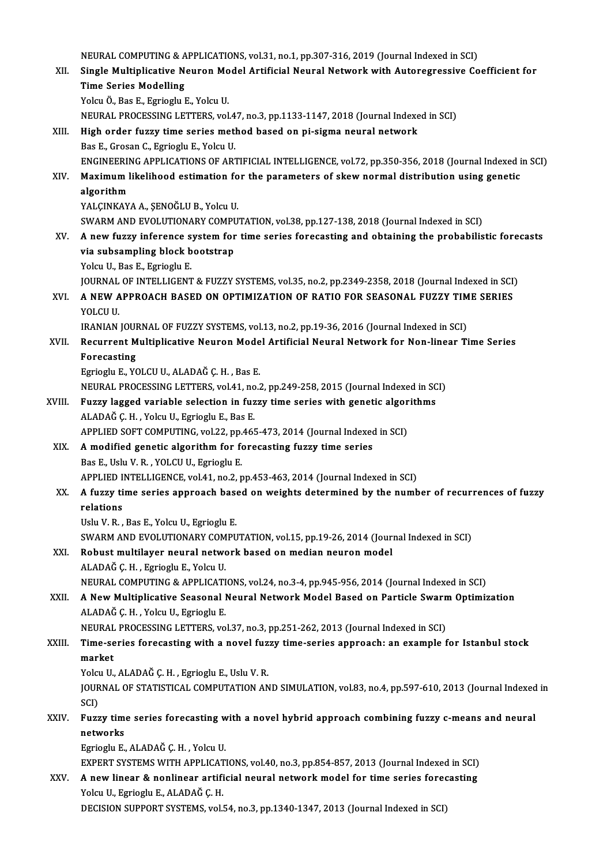NEURAL COMPUTING & APPLICATIONS, vol.31, no.1, pp.307-316, 2019 (Journal Indexed in SCI)<br>Single Multiplicative Neupon Model Artificial Neupel Network with Autonographys Co NEURAL COMPUTING & APPLICATIONS, vol.31, no.1, pp.307-316, 2019 (Journal Indexed in SCI)<br>XII. Single Multiplicative Neuron Model Artificial Neural Network with Autoregressive Coefficient for<br>Time Series Modelling NEURAL COMPUTING & A<br>Single Multiplicative Ne<br>Time Series Modelling<br>Yoku Ö. Boo E. Esriaslu I Single Multiplicative Neuron Mo<br>Time Series Modelling<br>Yolcu Ö., Bas E., Egrioglu E., Yolcu U.<br>NEUPAL PROCESSING LETTERS vol Time Series Modelling<br>Yolcu Ö., Bas E., Egrioglu E., Yolcu U.<br>NEURAL PROCESSING LETTERS, vol.47, no.3, pp.1133-1147, 2018 (Journal Indexed in SCI) XIII. High order fuzzy time series method based on pi-sigma neural network Bas E., Grosan C., Egrioglu E., Yolcu U. ENGINEERINGAPPLICATIONSOFARTIFICIAL INTELLIGENCE,vol.72,pp.350-356,2018 (Journal Indexed inSCI) Bas E., Grosan C., Egrioglu E., Yolcu U.<br>ENGINEERING APPLICATIONS OF ARTIFICIAL INTELLIGENCE, vol.72, pp.350-356, 2018 (Journal Indexed i<br>XIV. Maximum likelihood estimation for the parameters of skew normal distribution us ENGINEERII<br>Maximum l<br>algorithm<br>YALGINKAY Maximum likelihood estimation fo<br>algorithm<br>YALÇINKAYA A., ŞENOĞLU B., Yolcu U.<br>SWARM AND EVOLUTIONARY COMBU algorithm<br>YALÇINKAYA A., ŞENOĞLU B., Yolcu U.<br>SWARM AND EVOLUTIONARY COMPUTATION, vol.38, pp.127-138, 2018 (Journal Indexed in SCI) XV. A new fuzzy inference system for time series forecasting and obtaining the probabilistic forecasts SWARM AND EVOLUTIONARY COMPU<br>A new fuzzy inference system for<br>via subsampling block bootstrap<br>Velgy U. Boo E. Egyjagly E **A new fuzzy inference s<br>via subsampling block b<br>Yolcu U., Bas E., Egrioglu E.<br>JOUPNAL OF INTELLICENT** via subsampling block bootstrap<br>Yolcu U., Bas E., Egrioglu E.<br>JOURNAL OF INTELLIGENT & FUZZY SYSTEMS, vol.35, no.2, pp.2349-2358, 2018 (Journal Indexed in SCI)<br>A NEW ARRROACH BASED ON ORTIMIZATION OF BATIO FOR SEASONAL FUZ Yolcu U., Bas E., Egrioglu E.<br>JOURNAL OF INTELLIGENT & FUZZY SYSTEMS, vol.35, no.2, pp.2349-2358, 2018 (Journal Indexed in SCI<br>XVI. A NEW APPROACH BASED ON OPTIMIZATION OF RATIO FOR SEASONAL FUZZY TIME SERIES<br>YOLCU U. JOURNAL<br>**A NEW A**<br>YOLCU U.<br>IPANIAN IRANIAN JOURNAL OF FUZZY SYSTEMS, vol.13, no.2, pp.19-36, 2016 (Journal Indexed in SCI) YOLCU U.<br>IRANIAN JOURNAL OF FUZZY SYSTEMS, vol.13, no.2, pp.19-36, 2016 (Journal Indexed in SCI)<br>XVII. Recurrent Multiplicative Neuron Model Artificial Neural Network for Non-linear Time Series<br>Feresesting **IRANIAN JOUI<br>Recurrent M<br>Forecasting** Recurrent Multiplicative Neuron Mode<br>Forecasting<br>Egrioglu E., YOLCU U., ALADAĞ Ç. H. , Bas E.<br>NEUPAL PROCESSING LETTERS vol.41 no. Forecasting<br>Egrioglu E., YOLCU U., ALADAĞ Ç. H. , Bas E.<br>NEURAL PROCESSING LETTERS, vol.41, no.2, pp.249-258, 2015 (Journal Indexed in SCI)<br>Euggy lagged variable selection in fuggy time series with genetic algorithms Egrioglu E., YOLCU U., ALADAĞ Ç. H. , Bas E.<br>NEURAL PROCESSING LETTERS, vol.41, no.2, pp.249-258, 2015 (Journal Indexed in SC<br>XVIII. Fuzzy lagged variable selection in fuzzy time series with genetic algorithms NEURAL PROCESSING LETTERS, vol.41, no<br>Fuzzy lagged variable selection in fuz<br>ALADAĞ Ç. H. , Yolcu U., Egrioglu E., Bas E.<br>APPLED SOFT COMPUTING, vol.22, nn.465 Fuzzy lagged variable selection in fuzzy time series with genetic algor<br>ALADAĞ Ç. H. , Yolcu U., Egrioglu E., Bas E.<br>APPLIED SOFT COMPUTING, vol.22, pp.465-473, 2014 (Journal Indexed in SCI)<br>A modified genetic algorithm fo ALADAĞ Ç. H. , Yolcu U., Egrioglu E., Bas E.<br>APPLIED SOFT COMPUTING, vol.22, pp.465-473, 2014 (Journal Indexed<br>XIX. A modified genetic algorithm for forecasting fuzzy time series<br>Bas E., Uslu V. R. , YOLCU U., Egrioglu E. APPLIED SOFT COMPUTING, vol.22, pp.465-473, 2014 (Journal Indexed in SCI) A modified genetic algorithm for forecasting fuzzy time series<br>Bas E., Uslu V. R. , YOLCU U., Egrioglu E.<br>APPLIED INTELLIGENCE, vol.41, no.2, pp.453-463, 2014 (Journal Indexed in SCI)<br>A fuggy time series approach based on Bas E., Uslu V. R. , YOLCU U., Egrioglu E.<br>APPLIED INTELLIGENCE, vol.41, no.2, pp.453-463, 2014 (Journal Indexed in SCI)<br>XX. A fuzzy time series approach based on weights determined by the number of recurrences of fuzz APPLIED I<br><mark>A fuzzy ti</mark><br>relations<br><sup>Helv V P</sup> A fuzzy time series approach base<br>relations<br>Uslu V. R. , Bas E., Yolcu U., Egrioglu E.<br>SWARM AND EVOLUTIONARY COMBU relations<br>Uslu V. R. , Bas E., Yolcu U., Egrioglu E.<br>SWARM AND EVOLUTIONARY COMPUTATION, vol.15, pp.19-26, 2014 (Journal Indexed in SCI)<br>Robust multilever noural network based on median nouren medel. Uslu V. R. , Bas E., Yolcu U., Egrioglu E.<br>SWARM AND EVOLUTIONARY COMPUTATION, vol.15, pp.19-26, 2014 (Journal neuron)<br>XXI. Robust multilayer neural network based on median neuron model SWARM AND EVOLUTIONARY COM<br>**Robust multilayer neural netwo<br>ALADAĞ Ç. H. , Egrioglu E., Yolcu U.**<br>NEURAL COMBUTING & APBLICATI XXI. Robust multilayer neural network based on median neuron model<br>ALADAĞ Ç. H. , Egrioglu E., Yolcu U.<br>NEURAL COMPUTING & APPLICATIONS, vol.24, no.3-4, pp.945-956, 2014 (Journal Indexed in SCI) ALADAĞ Ç. H. , Egrioglu E., Yolcu U.<br>NEURAL COMPUTING & APPLICATIONS, vol.24, no.3-4, pp.945-956, 2014 (Journal Indexed in SCI)<br>XXII. A New Multiplicative Seasonal Neural Network Model Based on Particle Swarm Optimizat ALADAĞ Ç.H., Yolcu U., Egrioglu E. A New Multiplicative Seasonal Neural Network Model Based on Particle Swarn<br>ALADAĞ Ç. H. , Yolcu U., Egrioglu E.<br>NEURAL PROCESSING LETTERS, vol.37, no.3, pp.251-262, 2013 (Journal Indexed in SCI)<br>Time series foresasting wit XXIII. Time-series forecasting with a novel fuzzy time-series approach: an example for Istanbul stock<br>market NEURAL PROCESSING LETTERS, vol.37, no.3, pp.251-262, 2013 (Journal Indexed in SCI) Time-series forecasting with a novel fuz<br>market<br>Yolcu U., ALADAĞ Ç. H. , Egrioglu E., Uslu V. R.<br>JOUPNAL OF STATISTICAL COMPUTATION AN JOURNAL OF STATISTICAL COMPUTATION AND SIMULATION, vol.83, no.4, pp.597-610, 2013 (Journal Indexed in SCI) Yolc<mark>ı</mark><br>JOUR<br>SCI)<br>Euga JOURNAL OF STATISTICAL COMPUTATION AND SIMULATION, vol.83, no.4, pp.597-610, 2013 (Journal Indexed<br>SCI)<br>XXIV. Fuzzy time series forecasting with a novel hybrid approach combining fuzzy c-means and neural<br>networks SCI)<br>Fuzzy tim<br>networks<br>Egricaly E Fuzzy time series forecasting w<br>networks<br>Egrioglu E., ALADAĞ Ç. H. , Yolcu U.<br>EYRERT SYSTEMS WITH ADDI ICATI networks<br>Egrioglu E., ALADAĞ Ç. H. , Yolcu U.<br>EXPERT SYSTEMS WITH APPLICATIONS, vol.40, no.3, pp.854-857, 2013 (Journal Indexed in SCI)<br>A now linear & nonlinear artificial nouvel network model for time series foregasting. Egrioglu E., ALADAĞ Ç. H. , Yolcu U.<br>EXPERT SYSTEMS WITH APPLICATIONS, vol.40, no.3, pp.854-857, 2013 (Journal Indexed in SCI)<br>XXV. A new linear & nonlinear artificial neural network model for time series forecasting<br>Yolsy EXPERT SYSTEMS WITH APPLICAT<br>**A new linear & nonlinear artifi**<br>Yolcu U., Egrioglu E., ALADAĞ Ç. H.<br>DECISION SUPPOPT SYSTEMS vel l A new linear & nonlinear artificial neural network model for time series forecasting<br>Yolcu U., Egrioglu E., ALADAĞ Ç. H.<br>DECISION SUPPORT SYSTEMS, vol.54, no.3, pp.1340-1347, 2013 (Journal Indexed in SCI)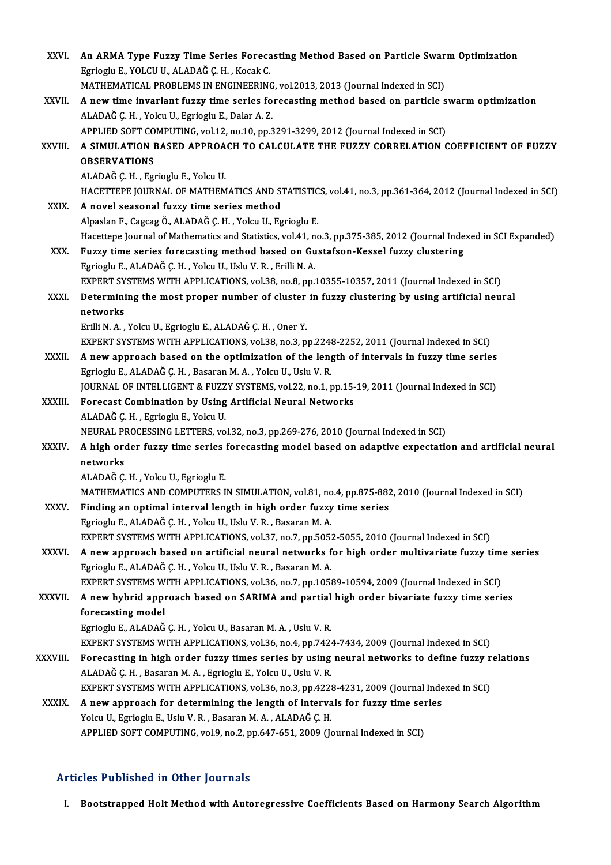| XXVI.        | An ARMA Type Fuzzy Time Series Forecasting Method Based on Particle Swarm Optimization                            |
|--------------|-------------------------------------------------------------------------------------------------------------------|
|              | Egrioglu E., YOLCU U., ALADAĞ Ç. H., Kocak C.                                                                     |
|              | MATHEMATICAL PROBLEMS IN ENGINEERING, vol.2013, 2013 (Journal Indexed in SCI)                                     |
| XXVII.       | A new time invariant fuzzy time series forecasting method based on particle swarm optimization                    |
|              | ALADAĞ Ç. H., Yolcu U., Egrioglu E., Dalar A. Z.                                                                  |
|              | APPLIED SOFT COMPUTING, vol.12, no.10, pp.3291-3299, 2012 (Journal Indexed in SCI)                                |
| XXVIII.      | A SIMULATION BASED APPROACH TO CALCULATE THE FUZZY CORRELATION COEFFICIENT OF FUZZY<br><b>OBSERVATIONS</b>        |
|              | ALADAĞ Ç. H., Egrioglu E., Yolcu U.                                                                               |
|              | HACETTEPE JOURNAL OF MATHEMATICS AND STATISTICS, vol.41, no.3, pp.361-364, 2012 (Journal Indexed in SCI)          |
| XXIX.        | A novel seasonal fuzzy time series method                                                                         |
|              | Alpaslan F., Cagcag Ö., ALADAĞ Ç. H., Yolcu U., Egrioglu E.                                                       |
|              | Hacettepe Journal of Mathematics and Statistics, vol.41, no.3, pp.375-385, 2012 (Journal Indexed in SCI Expanded) |
| XXX.         | Fuzzy time series forecasting method based on Gustafson-Kessel fuzzy clustering                                   |
|              | Egrioglu E., ALADAĞ Ç. H., Yolcu U., Uslu V. R., Erilli N. A.                                                     |
|              | EXPERT SYSTEMS WITH APPLICATIONS, vol.38, no.8, pp.10355-10357, 2011 (Journal Indexed in SCI)                     |
| XXXI.        | Determining the most proper number of cluster in fuzzy clustering by using artificial neural                      |
|              | networks                                                                                                          |
|              | Erilli N. A., Yolcu U., Egrioglu E., ALADAĞ Ç. H., Oner Y.                                                        |
|              | EXPERT SYSTEMS WITH APPLICATIONS, vol.38, no.3, pp.2248-2252, 2011 (Journal Indexed in SCI)                       |
| XXXII.       | A new approach based on the optimization of the length of intervals in fuzzy time series                          |
|              | Egrioglu E., ALADAĞ Ç. H., Basaran M. A., Yolcu U., Uslu V. R.                                                    |
|              | JOURNAL OF INTELLIGENT & FUZZY SYSTEMS, vol.22, no.1, pp.15-19, 2011 (Journal Indexed in SCI)                     |
| XXXIII.      | Forecast Combination by Using Artificial Neural Networks                                                          |
|              | ALADAĞ Ç.H., Egrioglu E., Yolcu U.                                                                                |
|              | NEURAL PROCESSING LETTERS, vol.32, no.3, pp.269-276, 2010 (Journal Indexed in SCI)                                |
| <b>XXXIV</b> | A high order fuzzy time series forecasting model based on adaptive expectation and artificial neural              |
|              | networks                                                                                                          |
|              | ALADAĞ Ç.H., Yolcu U., Egrioglu E.                                                                                |
|              | MATHEMATICS AND COMPUTERS IN SIMULATION, vol.81, no.4, pp.875-882, 2010 (Journal Indexed in SCI)                  |
| XXXV.        | Finding an optimal interval length in high order fuzzy time series                                                |
|              | Egrioglu E., ALADAĞ Ç. H., Yolcu U., Uslu V. R., Basaran M. A.                                                    |
|              | EXPERT SYSTEMS WITH APPLICATIONS, vol.37, no.7, pp.5052-5055, 2010 (Journal Indexed in SCI)                       |
| XXXVI.       | A new approach based on artificial neural networks for high order multivariate fuzzy time series                  |
|              | Egrioglu E., ALADAĞ Ç. H., Yolcu U., Uslu V. R., Basaran M. A.                                                    |
|              | EXPERT SYSTEMS WITH APPLICATIONS, vol.36, no.7, pp.10589-10594, 2009 (Journal Indexed in SCI)                     |
| XXXVII.      | A new hybrid approach based on SARIMA and partial high order bivariate fuzzy time series                          |
|              | forecasting model                                                                                                 |
|              | Egrioglu E., ALADAĞ Ç. H., Yolcu U., Basaran M. A., Uslu V. R.                                                    |
|              | EXPERT SYSTEMS WITH APPLICATIONS, vol.36, no.4, pp.7424-7434, 2009 (Journal Indexed in SCI)                       |
| XXXVIII.     | Forecasting in high order fuzzy times series by using neural networks to define fuzzy relations                   |
|              | ALADAĞ Ç.H., Basaran M.A., Egrioglu E., Yolcu U., Uslu V.R.                                                       |
|              | EXPERT SYSTEMS WITH APPLICATIONS, vol.36, no.3, pp.4228-4231, 2009 (Journal Indexed in SCI)                       |
| <b>XXXIX</b> | A new approach for determining the length of intervals for fuzzy time series                                      |
|              | Yolcu U., Egrioglu E., Uslu V. R., Basaran M. A., ALADAĞ Ç. H.                                                    |
|              | APPLIED SOFT COMPUTING, vol.9, no.2, pp.647-651, 2009 (Journal Indexed in SCI)                                    |
|              |                                                                                                                   |

#### Articles Published in Other Journals

I. Bootstrapped Holt Method with Autoregressive Coefficients Based on Harmony Search Algorithm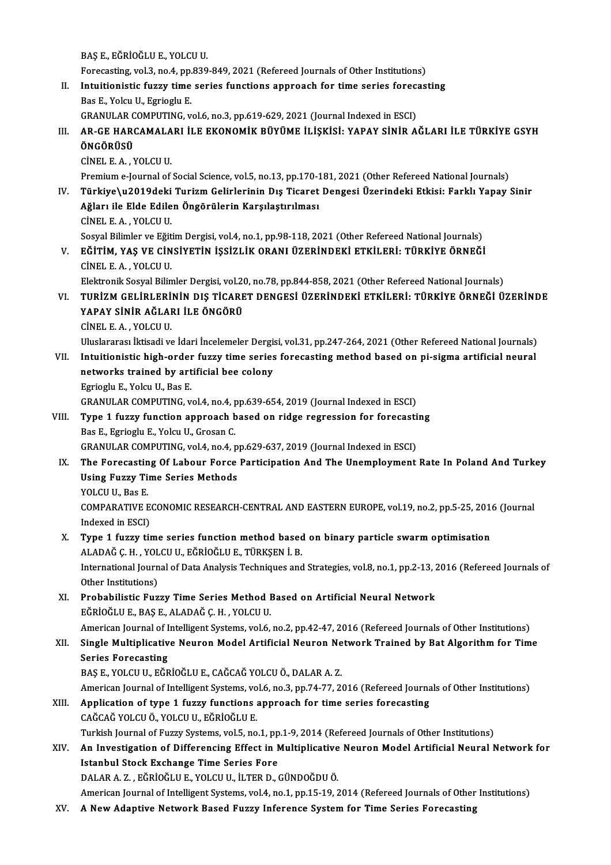BAŞE.,EĞRİOĞLUE.,YOLCUU.

BAŞ E., EĞRİOĞLU E., YOLCU U.<br>Forecasting, vol.3, no.4, pp.839-849, 2021 (Refereed Journals of Other Institutions)<br>Intuitionistis fuggy time series functions annuasab for time series foresas:

- II. Intuitionistic fuzzy time series functions approach for time series forecasting Bas E., Yolcu U., Egrioglu E. Forecasting, vol.3, no.4, pp.<br>Intuitionistic fuzzy time<br>Bas E., Yolcu U., Egrioglu E.<br>CRANULAR COMBUTING.
	- GRANULARCOMPUTING,vol.6,no.3,pp.619-629,2021 (Journal Indexed inESCI)
- Bas E., Yolcu U., Egrioglu E.<br>GRANULAR COMPUTING, vol.6, no.3, pp.619-629, 2021 (Journal Indexed in ESCI)<br>III. AR-GE HARCAMALARI İLE EKONOMİK BÜYÜME İLİŞKİSİ: YAPAY SİNİR AĞLARI İLE TÜRKİYE GSYH<br>ÖNCÖPÜSÜ GRANULAR C<br>**AR-GE HAR(<br>ÖNGÖRÜSÜ** AR-GE HARCAMALA<br>ÖNGÖRÜSÜ<br>CİNEL E.A., YOLCU U.<br>Promium e Journal of

ÖNGÖRÜSÜ<br>CİNEL E. A. , YOLCU U.<br>Premium e-Journal of Social Science, vol.5, no.13, pp.170-181, 2021 (Other Refereed National Journals)<br>Türkiye) u2019deki Turizm Gelirlerinin Dış Tisarat Dengesi Üserindeki Etkişi, Farklı Ya CİNEL E. A. , YOLCU U.<br>Premium e-Journal of Social Science, vol.5, no.13, pp.170-181, 2021 (Other Refereed National Journals)<br>IV. Türkiye\u2019deki Turizm Gelirlerinin Dış Ticaret Dengesi Üzerindeki Etkisi: Farklı Yapa

- Premium e-Journal of Social Science, vol.5, no.13, pp.170-1<br>Türkiye\u2019deki Turizm Gelirlerinin Dış Ticaret<br>Ağları ile Elde Edilen Öngörülerin Karşılaştırılması<br>Cinet E.A. VOLCUU Türkiye\u2019deki<br>Ağları ile Elde Edile<br>CİNEL E.A., YOLCU U.<br>Sesval Bilimler ve Eğit Ağları ile Elde Edilen Öngörülerin Karşılaştırılması<br>CİNEL E. A. , YOLCU U.<br>Sosyal Bilimler ve Eğitim Dergisi, vol.4, no.1, pp.98-118, 2021 (Other Refereed National Journals) CİNEL E. A. , YOLCU U.<br>Sosyal Bilimler ve Eğitim Dergisi, vol.4, no.1, pp.98-118, 2021 (Other Refereed National Journals)<br>V. EĞİTİM, YAŞ VE CİNSİYETİN İŞSİZLİK ORANI ÜZERİNDEKİ ETKİLERİ: TÜRKİYE ÖRNEĞİ<br>CİNELE A. YOLCU U
- Sosyal Bilimler ve Eğit<br>EĞİTİM, YAŞ VE CİN<br>CİNEL E.A., YOLCU U.<br>Elektronik Sosyal Bilin EĞİTİM, YAŞ VE CİNSİYETİN İŞSİZLİK ORANI ÜZERİNDEKİ ETKİLERİ: TÜRKİYE ÖRNEĞİ<br>CİNEL E. A. , YOLCU U.<br>Elektronik Sosyal Bilimler Dergisi, vol.20, no.78, pp.844-858, 2021 (Other Refereed National Journals)<br>TURİZM CELİBI ERİNİ

- CİNEL E. A. , YOLCU U.<br>Elektronik Sosyal Bilimler Dergisi, vol.20, no.78, pp.844-858, 2021 (Other Refereed National Journals)<br>VI. TURİZM GELİRLERİNİN DIŞ TİCARET DENGESİ ÜZERİNDEKİ ETKİLERİ: TÜRKİYE ÖRNEĞİ ÜZERİNDE<br>VAR Elektronik Sosyal Bilimler Dergisi, vol.20, no.78, pp.844-858, 2021 (Other Refereed National Journals)<br>TURİZM GELİRLERİNİN DIŞ TİCARET DENGESİ ÜZERİNDEKİ ETKİLERİ: TÜRKİYE ÖRNEĞİ Ü<br>YAPAY SİNİR AĞLARI İLE ÖNGÖRÜ<br>CİNEL E. A. TURİZM GELİRLERİ<br>YAPAY SİNİR AĞLAI<br>CİNEL E.A., YOLCU U.<br>Uluslararası İltisadi ve YAPAY SİNİR AĞLARI İLE ÖNGÖRÜ<br>CİNEL E. A. , YOLCU U.<br>Uluslararası İktisadi ve İdari İncelemeler Dergisi, vol.31, pp.247-264, 2021 (Other Refereed National Journals)<br>Intuitionistis birb andan fuguy time sanies fonesasting m
	-

- CINEL E. A. , YOLCU U.<br>Uluslararası İktisadi ve İdari İncelemeler Dergisi, vol.31, pp.247-264, 2021 (Other Refereed National Journals)<br>VII. Intuitionistic high-order fuzzy time series forecasting method based on pi-sigma a Uluslararası İktisadi ve İdari İncelemeler Dergis<br>Intuitionistic high-order fuzzy time series<br>networks trained by artificial bee colony<br>Feriesly F. Yolsy II. Bes F. VII. Intuitionistic high-order fuzzy time series forecasting method based on pi-sigma artificial neural networks trained by artificial bee colony<br>Egrioglu E., Yolcu U., Bas E. networks trained by artificial bee colony<br>Egrioglu E., Yolcu U., Bas E.<br>GRANULAR COMPUTING, vol.4, no.4, pp.639-654, 2019 (Journal Indexed in ESCI)<br>Tune 1 fuggy function annroach based on ridge regression for foresasti Egrioglu E., Yolcu U., Bas E.<br>GRANULAR COMPUTING, vol.4, no.4, pp.639-654, 2019 (Journal Indexed in ESCI)<br>VIII. Type 1 fuzzy function approach based on ridge regression for forecasting<br>Reg F. Egriogly E. Yolcu II. Cresen C
- GRANULAR COMPUTING, vol.4, no.4, p<br>**Type 1 fuzzy function approach b**<br>Bas E., Egrioglu E., Yolcu U., Grosan C.<br>CRANULAR COMPUTING, vol.4, no.4, r Type 1 fuzzy function approach based on ridge regression for forecasti<br>Bas E., Egrioglu E., Yolcu U., Grosan C.<br>GRANULAR COMPUTING, vol.4, no.4, pp.629-637, 2019 (Journal Indexed in ESCI)<br>The Egresseting Of Labour Forse Pa
- Bas E., Egrioglu E., Yolcu U., Grosan C.<br>GRANULAR COMPUTING, vol.4, no.4, pp.629-637, 2019 (Journal Indexed in ESCI)<br>IX. The Forecasting Of Labour Force Participation And The Unemployment Rate In Poland And Turkey<br>Heing Fu GRANULAR COMPUTING, vol.4, no.4, p<br>The Forecasting Of Labour Force<br>Using Fuzzy Time Series Methods<br>VOLCU U. Bos F Using Fuzzy Time Series Methods<br>YOLCU U., Bas E. Using Fuzzy Time Series Methods<br>YOLCU U., Bas E.<br>COMPARATIVE ECONOMIC RESEARCH-CENTRAL AND EASTERN EUROPE, vol.19, no.2, pp.5-25, 2016 (Journal<br>Indeved in ESCL)

YOLCU U., Bas E.<br>COMPARATIVE E<br>Indexed in ESCI)<br>Tune 1 fuggy ti COMPARATIVE ECONOMIC RESEARCH-CENTRAL AND EASTERN EUROPE, vol.19, no.2, pp.5-25, 201<br>Indexed in ESCI)<br>X. Type 1 fuzzy time series function method based on binary particle swarm optimisation<br>ALANAČ C H - VOLCU U EČRIOČLU E

## Indexed in ESCI)<br>**Type 1 fuzzy time series function method based**<br>ALADAĞ Ç. H. , YOLCU U., EĞRİOĞLU E., TÜRKŞEN İ. B.<br>International Jaurnal of Data Analysis Techniques and Type 1 fuzzy time series function method based on binary particle swarm optimisation<br>ALADAĞ Ç. H. , YOLCU U., EĞRİOĞLU E., TÜRKŞEN İ. B.<br>International Journal of Data Analysis Techniques and Strategies, vol.8, no.1, pp.2-1 ALADAĞ Ç. H. , YOL<br>International Journ<br>Other Institutions)<br>Probobilistie Eur

International Journal of Data Analysis Techniques and Strategies, vol.8, no.1, pp.2-13, 2<br>Other Institutions)<br>XI. Probabilistic Fuzzy Time Series Method Based on Artificial Neural Network<br>RČPIOČLUE RASE ALADAČ C H - VOLCUU

Other Institutions)<br>
XI. Probabilistic Fuzzy Time Series Method Based on Artificial Neural Network<br>
EĞRİOĞLU E., BAŞ E., ALADAĞ Ç. H. , YOLCU U. Probabilistic Fuzzy Time Series Method Based on Artificial Neural Network<br>EĞRİOĞLU E., BAŞ E., ALADAĞ Ç. H. , YOLCU U.<br>American Journal of Intelligent Systems, vol.6, no.2, pp.42-47, 2016 (Refereed Journals of Other Instit

### EĞRİOĞLU E., BAŞ E., ALADAĞ Ç. H. , YOLCU U.<br>American Journal of Intelligent Systems, vol.6, no.2, pp.42-47, 2016 (Refereed Journals of Other Institutions)<br>XII. Single Multiplicative Neuron Model Artificial Neuron Netw American Journal of I<br>Single Multiplicativ<br>Series Forecasting<br>PAS E VOLCUU FÖR Single Multiplicative Neuron Model Artificial Neuron Ne<br>Series Forecasting<br>BAŞ E., YOLCU U., EĞRİOĞLU E., CAĞCAĞ YOLCU Ö., DALAR A. Z.<br>American Journal of Intelligent Systems, yol 6, no 3, nn 74, 77, 2. Series Forecasting<br>BAŞ E., YOLCU U., EĞRİOĞLU E., CAĞCAĞ YOLCU Ö., DALAR A. Z.<br>American Journal of Intelligent Systems, vol.6, no.3, pp.74-77, 2016 (Refereed Journals of Other Institutions)<br>Annligation of tune 1 fuggy func

- BAŞ E., YOLCU U., EĞRİOĞLU E., CAĞCAĞ YOLCU Ö., DALAR A. Z.<br>American Journal of Intelligent Systems, vol.6, no.3, pp.74-77, 2016 (Refereed Journa<br>XIII. Application of type 1 fuzzy functions approach for time series forecas American Journal of Intelligent Systems, vo<br>**Application of type 1 fuzzy functions :**<br>CAĞCAĞ YOLCU Ö., YOLCU U., EĞRİOĞLU E.<br>Turkich Journal of Euggy Systems, vol 5, no Turkish Journal of Fuzzy Systems, vol.5, no.1, pp.1-9, 2014 (Refereed Journals of Other Institutions) CAĞCAĞ YOLCU Ö., YOLCU U., EĞRİOĞLU E.<br>Turkish Journal of Fuzzy Systems, vol.5, no.1, pp.1-9, 2014 (Refereed Journals of Other Institutions)<br>XIV. An Investigation of Differencing Effect in Multiplicative Neuron Model A
- Istanbul Stock Exchange Time Series Fore<br>DALAR A. Z., EĞRİOĞLU E., YOLCU U., İLTER D., GÜNDOĞDU Ö. An Investigation of Differencing Effect in Multiplicative<br>Istanbul Stock Exchange Time Series Fore<br>DALAR A. Z. , EĞRİOĞLU E., YOLCU U., İLTER D., GÜNDOĞDU Ö.<br>American Journal of Intelligent Systems vel 4 no 1 np 15 19 5

American Journal of Intelligent Systems, vol.4, no.1, pp.15-19, 2014 (Refereed Journals of Other Institutions)

XV. A New Adaptive Network Based Fuzzy Inference System for Time Series Forecasting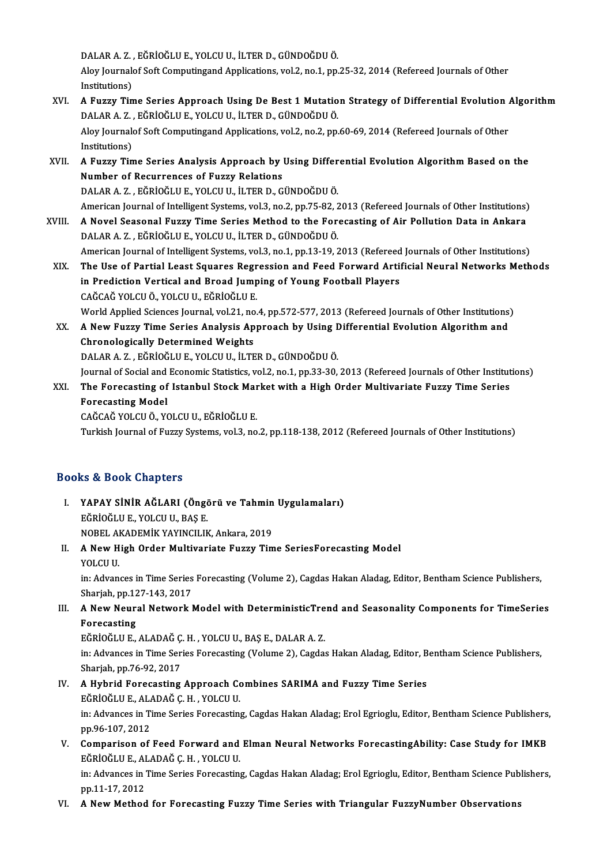DALAR A. Z. , EĞRİOĞLU E., YOLCU U., İLTER D., GÜNDOĞDU Ö.<br>Alev Journalef Seft Computingand Annliestions, vel 3, no. 1, nn.

Aloy Journalof Soft Computingand Applications, vol.2, no.1, pp.25-32, 2014 (Refereed Journals of Other<br>Institutions) DALAR A. Z.,<br>Aloy Journal<br>Institutions)<br>A Evry Tin Aloy Journalof Soft Computingand Applications, vol.2, no.1, pp.25-32, 2014 (Refereed Journals of Other<br>Institutions)<br>XVI. A Fuzzy Time Series Approach Using De Best 1 Mutation Strategy of Differential Evolution Algorithm

- Institutions)<br>A Fuzzy Time Series Approach Using De Best 1 Mutatio<br>DALAR A. Z. , EĞRİOĞLU E., YOLCU U., İLTER D., GÜNDOĞDU Ö.<br>Alev Journalef Seft Computingand Applications vel 3-no 3-nn A Fuzzy Time Series Approach Using De Best 1 Mutation Strategy of Differential Evolution .<br>DALAR A. Z. , EĞRİOĞLU E., YOLCU U., İLTER D., GÜNDOĞDU Ö.<br>Aloy Journalof Soft Computingand Applications, vol.2, no.2, pp.60-69, 20 DALAR A. Z. , EĞRİOĞLU E., YOLCU U., İLTER D., GÜNDOĞDU Ö.<br>Aloy Journalof Soft Computingand Applications, vol.2, no.2, pp.60-69, 2014 (Refereed Journals of Other<br>Institutions) Aloy Journalof Soft Computingand Applications, vol.2, no.2, pp.60-69, 2014 (Refereed Journals of Other<br>Institutions)<br>XVII. A Fuzzy Time Series Analysis Approach by Using Differential Evolution Algorithm Based on the<br>Number
- Institutions)<br>A Fuzzy Time Series Analysis Approach by I<br>Number of Recurrences of Fuzzy Relations<br>DALARA Z., FČPİQČLUE, VOLCUU, İLTERD C A Fuzzy Time Series Analysis Approach by Using Differ<br>Number of Recurrences of Fuzzy Relations<br>DALAR A. Z. , EĞRİOĞLU E., YOLCU U., İLTER D., GÜNDOĞDU Ö.<br>American Journal of Intelligent Systems vol 3, no 3, np.75, 92, 3 Number of Recurrences of Fuzzy Relations<br>DALAR A. Z. , EĞRİOĞLU E., YOLCU U., İLTER D., GÜNDOĞDU Ö.<br>American Journal of Intelligent Systems, vol.3, no.2, pp.75-82, 2013 (Refereed Journals of Other Institutions)
- XVIII. A Novel Seasonal Fuzzy Time Series Method to the Forecasting of Air Pollution Data in Ankara DALARA.Z. ,EĞRİOĞLUE.,YOLCUU., İLTERD.,GÜNDOĞDUÖ. A Novel Seasonal Fuzzy Time Series Method to the Forecasting of Air Pollution Data in Ankara<br>DALAR A. Z. , EĞRİOĞLU E., YOLCU U., İLTER D., GÜNDOĞDU Ö.<br>American Journal of Intelligent Systems, vol.3, no.1, pp.13-19, 2013 (

DALAR A. Z. , EĞRİOĞLU E., YOLCU U., İLTER D., GÜNDOĞDU Ö.<br>American Journal of Intelligent Systems, vol.3, no.1, pp.13-19, 2013 (Refereed Journals of Other Institutions)<br>XIX. The Use of Partial Least Squares Regression American Journal of Intelligent Systems, vol.3, no.1, pp.13-19, 2013 (Refereed<br>The Use of Partial Least Squares Regression and Feed Forward Artii<br>in Prediction Vertical and Broad Jumping of Young Football Players<br>CAČCAČ YO The Use of Partial Least Squares Regression and Feed Forward Artificial Neural Networks Methods<br>in Prediction Vertical and Broad Jumping of Young Football Players<br>CAĞCAĞ YOLCU Ö., YOLCU U., EĞRİOĞLU E. in Prediction Vertical and Broad Jumping of Young Football Players<br>CAĞCAĞ YOLCU Ö., YOLCU U., EĞRİOĞLU E.<br>World Applied Sciences Journal, vol.21, no.4, pp.572-577, 2013 (Refereed Journals of Other Institutions)<br>A Now Fuggy

CAĞCAĞ YOLCU Ö., YOLCU U., EĞRİOĞLU E.<br>World Applied Sciences Journal, vol.21, no.4, pp.572-577, 2013 (Refereed Journals of Other Institutions)<br>XX. A New Fuzzy Time Series Analysis Approach by Using Differential Evolut World Applied Sciences Journal, vol.21, no<br>A New Fuzzy Time Series Analysis Ap<br>Chronologically Determined Weights<br>DALARA 7 - FÖRIQÖLUE VOLGUU İLTE A New Fuzzy Time Series Analysis Approach by Using I<br>Chronologically Determined Weights<br>DALAR A. Z. , EĞRİOĞLU E., YOLCU U., İLTER D., GÜNDOĞDU Ö.<br>Journal of Sosial and Esenemis Statistiss vel 3, no 1, np 33, 30. Chronologically Determined Weights<br>DALAR A. Z. , EĞRİOĞLU E., YOLCU U., İLTER D., GÜNDOĞDU Ö.<br>Journal of Social and Economic Statistics, vol.2, no.1, pp.33-30, 2013 (Refereed Journals of Other Institutions)

DALAR A. Z. , EĞRİOĞLU E., YOLCU U., İLTER D., GÜNDOĞDU Ö.<br>Journal of Social and Economic Statistics, vol.2, no.1, pp.33-30, 2013 (Refereed Journals of Other Institut<br>XXI. The Forecasting of Istanbul Stock Market with Journal of Social and<br>The Forecasting of<br>Forecasting Model<br>CAČCAČ VOLCU Ö, VO The Forecasting of Istanbul Stock Mar<br>Forecasting Model<br>CAĞCAĞ YOLCU Ö., YOLCU U., EĞRİOĞLU E.<br>Turkich Journal of Euggy Systems vol 3, no Forecasting Model<br>CAĞCAĞ YOLCU Ö., YOLCU U., EĞRİOĞLU E.<br>Turkish Journal of Fuzzy Systems, vol.3, no.2, pp.118-138, 2012 (Refereed Journals of Other Institutions)

#### Books&Book Chapters

- ooks & Book Chapters<br>I. YAPAY SİNİR AĞLARI (Öngörü ve Tahmin Uygulamaları)<br>FÖRİQÖLLE VOLCUJL BASE EĞRİOĞLUE., YOLCU<br>EĞRİOĞLUE., YOLCUU., BAŞE.<br>NOPEL AKADEMİK YAYINCU IL YAPAY SİNİR AĞLARI (Öngörü ve Tahmin<br>EĞRİOĞLU E., YOLCU U., BAŞ E.<br>NOBEL AKADEMİK YAYINCILIK, Ankara, 2019<br>A Nov Hirb Order Multiveriate Eurey Tim NOBEL AKADEMİK YAYINCILIK, Ankara, 2019
- EĞRİOĞLU E., YOLCU U., BAŞ E.<br>NOBEL AKADEMİK YAYINCILIK, Ankara, 2019<br>II. A New High Order Multivariate Fuzzy Time SeriesForecasting Model<br>YOLCU U.

A New High Order Multivariate Fuzzy Time SeriesForecasting Model<br>YOLCU U.<br>in: Advances in Time Series Forecasting (Volume 2), Cagdas Hakan Aladag, Editor, Bentham Science Publishers,<br>Shariah np 127 143 2017 YOLCU U.<br>in: Advances in Time Series<br>Sharjah, pp.127-143, 2017<br>A Now Noural Natwork I In: Advances in Time Series Forecasting (Volume 2), Cagdas Hakan Aladag, Editor, Bentham Science Publishers,<br>Sharjah, pp.127-143, 2017<br>III. A New Neural Network Model with DeterministicTrend and Seasonality Components for

## Sharjah, pp.127-143, 2017<br>III. A New Neural Network Model with DeterministicTrend and Seasonality Components for TimeSeries<br>Forecasting A New Neural Network Model with DeterministicTre<br>Forecasting<br>EĞRİOĞLU E., ALADAĞ Ç. H. , YOLCU U., BAŞ E., DALAR A. Z.<br>in: Advances in Time Series Forecasting (Volume ?), Cagda

in: Advances in Time Series Forecasting (Volume 2), Cagdas Hakan Aladag, Editor, Bentham Science Publishers,<br>Sharjah, pp.76-92, 2017 EĞRİOĞLU E., ALADAĞ Ç.<br>in: Advances in Time Ser<br>Sharjah, pp.76-92, 2017<br>A Hybrid Forecasting in: Advances in Time Series Forecasting (Volume 2), Cagdas Hakan Aladag, Editor, B<br>Sharjah, pp.76-92, 2017<br>IV. A Hybrid Forecasting Approach Combines SARIMA and Fuzzy Time Series<br>FORIOCLUE ALADAČ C H - VOLCUU

- Sharjah, pp.76-92, 2017<br>A Hybrid Forecasting Approach Co<br>EĞRİOĞLU E., ALADAĞ Ç. H. , YOLCU U.<br>in: Advances in Time Serice Forecastin A Hybrid Forecasting Approach Combines SARIMA and Fuzzy Time Series<br>EĞRİOĞLU E., ALADAĞ Ç. H. , YOLCU U.<br>in: Advances in Time Series Forecasting, Cagdas Hakan Aladag; Erol Egrioglu, Editor, Bentham Science Publishers,<br>nn 9 EĞRİOĞLU E., AL*ı*<br>in: Advances in Ti<br>pp.96-107, 2012<br>Companison of in: Advances in Time Series Forecasting, Cagdas Hakan Aladag; Erol Egrioglu, Editor, Bentham Science Publishers,<br>pp.96-107, 2012<br>V. Comparison of Feed Forward and Elman Neural Networks ForecastingAbility: Case Study for IM
- pp.96-107, 2012<br>V. Comparison of Feed Forward and Elman Neural Networks ForecastingAbility: Case Study for IMKB EĞRİOĞLU E, ALADAĞ Ç.H., YOLCU U.

in: Advances in Time Series Forecasting, Cagdas Hakan Aladag; Erol Egrioglu, Editor, Bentham Science Publishers,<br>pp.11-17, 2012

VI. A NewMethod for Forecasting Fuzzy Time Series with Triangular FuzzyNumber Observations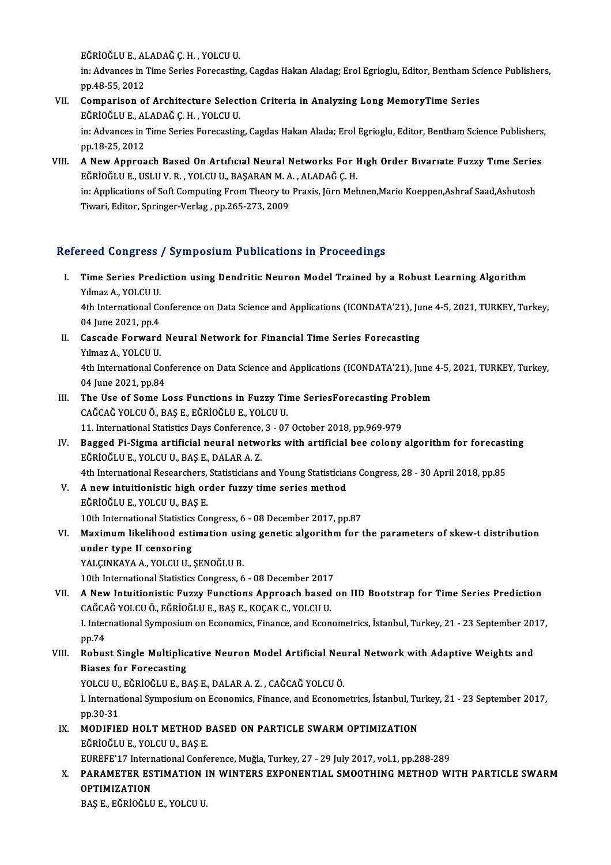eğrioğlu E., Aladağ Ç. H. , Yolcu U.<br>İn: Advances in Time Serice Fersesstin

in: Advances in Time Series Forecasting, Cagdas Hakan Aladag; Erol Egrioglu, Editor, Bentham Science Publishers,<br>pp.48-55, 2012 EĞRİOĞLU E., Al<br>in: Advances in '<br>pp.48-55, 2012<br>Comparison e: in: Advances in Time Series Forecasting, Cagdas Hakan Aladag; Erol Egrioglu, Editor, Bentham Scipp.48-55, 2012<br>VII. Comparison of Architecture Selection Criteria in Analyzing Long MemoryTime Series<br>FÖRIOČUJE ALADAČ C H. VO

## pp.48-55, 2012<br>Comparison of Architecture Select<br>EĞRİOĞLU E., ALADAĞ Ç. H. , YOLCU U.<br>in: Advances in Time Series Ferecestin Comparison of Architecture Selection Criteria in Analyzing Long MemoryTime Series<br>EĞRİOĞLU E., ALADAĞ Ç. H. , YOLCU U.<br>in: Advances in Time Series Forecasting, Cagdas Hakan Alada; Erol Egrioglu, Editor, Bentham Science Pub

EĞRİOĞLU E., ALADAĞ Ç. H. , YOLCU U.<br>in: Advances in Time Series Forecasting, Cagdas Hakan Alada; Erol Egrioglu, Editor, Bentham Science Publishers,<br>pp.18-25, 2012

VIII. A New Approach Based On Artıfıcıal Neural Networks For Hıgh Order Bıvarıate Fuzzy Time Series pp.18-25, 2012<br>A New Approach Based On Artıfıcıal Neural Networks For I<br>EĞRİOĞLU E., USLU V. R. , YOLCU U., BAŞARAN M. A. , ALADAĞ Ç. H.<br>in: Applications of Soft Computing From Theory to Provis Jörn Mob in: Applications of Soft Computing From Theory to Praxis, Jörn Mehnen,Mario Koeppen,Ashraf Saad,Ashutosh<br>Tiwari, Editor, Springer-Verlag , pp.265-273, 2009 EĞRİOĞLU E., USLU V. R. , YOLCU U., BAŞARAN M. A<br>in: Applications of Soft Computing From Theory to<br>Tiwari, Editor, Springer-Verlag , pp.265-273, 2009

#### Refereed Congress / Symposium Publications in Proceedings

- efereed Congress / Symposium Publications in Proceedings<br>I. Time Series Prediction using Dendritic Neuron Model Trained by a Robust Learning Algorithm<br>Xymas A, YOLGU U Yulmaz A., YOLCU U.<br>Time Series Predi<br>Yılmaz A., YOLCU U. Time Series Prediction using Dendritic Neuron Model Trained by a Robust Learning Algorithm<br>Yılmaz A., YOLCU U.<br>4th International Conference on Data Science and Applications (ICONDATA'21), June 4-5, 2021, TURKEY, Turkey,<br>04 Yılmaz A., YOLCU U.<br>4th International Co<br>04 June 2021, pp.4<br>Coasada Forward 4th International Conference on Data Science and Applications (ICONDATA'21), Ju<br>04 June 2021, pp.4<br>II. Cascade Forward Neural Network for Financial Time Series Forecasting<br>Vilmar A, VOLCU U
- 04 June 2021, pp.4<br>II. Cascade Forward Neural Network for Financial Time Series Forecasting<br>Yılmaz A., YOLCU U. Cascade Forward Neural Network for Financial Time Series Forecasting<br>Yılmaz A., YOLCU U.<br>4th International Conference on Data Science and Applications (ICONDATA'21), June 4-5, 2021, TURKEY, Turkey,<br>04 June 2021, pp.94. Yılmaz A., YOLCU U.<br>4th International Cor<br>04 June 2021, pp.84<br>The Hse of Some I.
- 4th International Conference on Data Science and Applications (ICONDATA'21), June<br>04 June 2021, pp.84<br>III. The Use of Some Loss Functions in Fuzzy Time SeriesForecasting Problem<br> $CA\breve{C}A\breve{C}$  VOLCU Ö, PAS E, FÖRIQĞLU E, 04 June 2021, pp.84<br>The Use of Some Loss Functions in Fuzzy Tip<br>CAĞCAĞ YOLCU Ö., BAŞ E., EĞRİOĞLU E., YOLCU U.<br>11. International Statistics Days Conference 3., 07 The Use of Some Loss Functions in Fuzzy Time SeriesForecasting Pro<br>CAĞCAĞ YOLCU Ö., BAŞ E., EĞRİOĞLU E., YOLCU U.<br>11. International Statistics Days Conference, 3 - 07 October 2018, pp.969-979<br>Bagged Bi Sigma artificial nau

- CAĞCAĞ YOLCU Ö., BAŞ E., EĞRİOĞLU E., YOLCU U.<br>11. International Statistics Days Conference, 3 07 October 2018, pp.969-979<br>IV. Bagged Pi-Sigma artificial neural networks with artificial bee colony algorithm for forec 11. International Statistics Days Conference,<br>Bagged Pi-Sigma artificial neural netwo<br>EĞRİOĞLU E., YOLCU U., BAŞ E., DALAR A. Z. Bagged Pi-Sigma artificial neural networks with artificial bee colony algorithm for forecast<br>EĞRİOĞLU E., YOLCU U., BAŞ E., DALAR A. Z.<br>4th International Researchers, Statisticians and Young Statisticians Congress, 28 - 30 EĞRİOĞLU E., YOLCU U., BAŞ E., DALAR A. Z.<br>4th International Researchers, Statisticians and Young Statistician<br>V. A new intuitionistic high order fuzzy time series method<br>FÖRİOĞLU E. VOLCU U. BAS E
- 4th International Researchers, Statisticians and Young Statisticians Congress, 28 30 April 2018, pp.85<br> **A new intuitionistic high order fuzzy time series method**<br>
EĞRİOĞLU E., YOLCU U., BAŞ E.<br>
10th International Statis A new intuitionistic high order fuzzy time series method<br>EĞRİOĞLU E., YOLCU U., BAŞ E.<br>10th International Statistics Congress, 6 - 08 December 2017, pp.87<br>Meximum likelihood estimation using genetic elgenithm for t

## EĞRİOĞLU E., YOLCU U., BAŞ E.<br>10th International Statistics Congress, 6 - 08 December 2017, pp.87<br>VI. Maximum likelihood estimation using genetic algorithm for the parameters of skew-t distribution<br>weder type II concering 10th International Statistics<br>Maximum likelihood esti<br>under type II censoring<br>VALGNKAVA A VOLGU U under type II censoring<br>YALÇINKAYA A., YOLCU U., ŞENOĞLU B.<br>10th International Statistics Congress, 6 - 08 December 2017<br>A Now Intuitionistic Eugey Eunstians Annroach based

under type II censoring<br>YALÇINKAYA A., YOLCU U., ŞENOĞLU B.

VII. A New Intuitionistic Fuzzy Functions Approach based on IID Bootstrap for Time Series Prediction<br>CAĞCAĞ YOLCU Ö., EĞRİOĞLU E., BAŞ E., KOÇAK C., YOLCU U. 10th International Statistics Congress, 6 - 08 December 2017<br>A New Intuitionistic Fuzzy Functions Approach based<br>CAĞCAĞ YOLCU Ö., EĞRİOĞLU E., BAŞ E., KOÇAK C., YOLCU U. A New Intuitionistic Fuzzy Functions Approach based on IID Bootstrap for Time Series Prediction<br>CAĞCAĞ YOLCU Ö., EĞRİOĞLU E., BAŞ E., KOÇAK C., YOLCU U.<br>I. International Symposium on Economics, Finance, and Econometrics, İ

CAĞCA<br>I. Inter<br>pp.74<br>Pobus I. International Symposium on Economics, Finance, and Econometrics, İstanbul, Turkey, 21 - 23 September 20:<br>PD.74<br>VIII. Robust Single Multiplicative Neuron Model Artificial Neural Network with Adaptive Weights and<br>Pieses f

## pp.74<br>Robust Single Multiplic<br>Biases for Forecasting<br>YOLCU U FČPIOČUUE P Robust Single Multiplicative Neuron Model Artificial Neu<br>Biases for Forecasting<br>YOLCU U., EĞRİOĞLU E., BAŞ E., DALAR A. Z. , CAĞCAĞ YOLCU Ö.<br>Linternational Sumnasium on Feonomise Finance and Feonom

Biases for Forecasting<br>YOLCU U., EĞRİOĞLU E., BAŞ E., DALAR A. Z. , CAĞCAĞ YOLCU Ö.<br>I. International Symposium on Economics, Finance, and Econometrics, İstanbul, Turkey, 21 - 23 September 2017,<br>pp.30-31 YOLCU U., EĞRİOĞLU E., BAŞ E., DALAR A. Z., CAĞCAĞ YOLCU Ö. I. International Symposium on Economics, Finance, and Econometrics, İstanbul, Tu<br>pp.30-31<br>IX. MODIFIED HOLT METHOD BASED ON PARTICLE SWARM OPTIMIZATION

pp.30-31<br>MODIFIED HOLT METHOD I<br>EĞRİOĞLU E., YOLCU U., BAŞ E.<br>EUREEE'17 International Conf MODIFIED HOLT METHOD BASED ON PARTICLE SWARM OPTIMIZATION<br>EĞRİOĞLU E., YOLCU U., BAŞ E.<br>EUREFE'17 International Conference, Muğla, Turkey, 27 - 29 July 2017, vol.1, pp.288-289<br>BARAMETER ESTIMATION IN WINTERS EXPONENTIAL SM

## EĞRİOĞLU E., YOLCU U., BAŞ E.<br>EUREFE'17 International Conference, Muğla, Turkey, 27 - 29 July 2017, vol.1, pp.288-289<br>X. PARAMETER ESTIMATION IN WINTERS EXPONENTIAL SMOOTHING METHOD WITH PARTICLE SWARM<br>OPTIMIZATION EUREFE'17 Intern<br>PARAMETER ES<br>OPTIMIZATION<br>PAS E FČPIOČIJI

BAŞE.,EĞRİOĞLUE.,YOLCUU.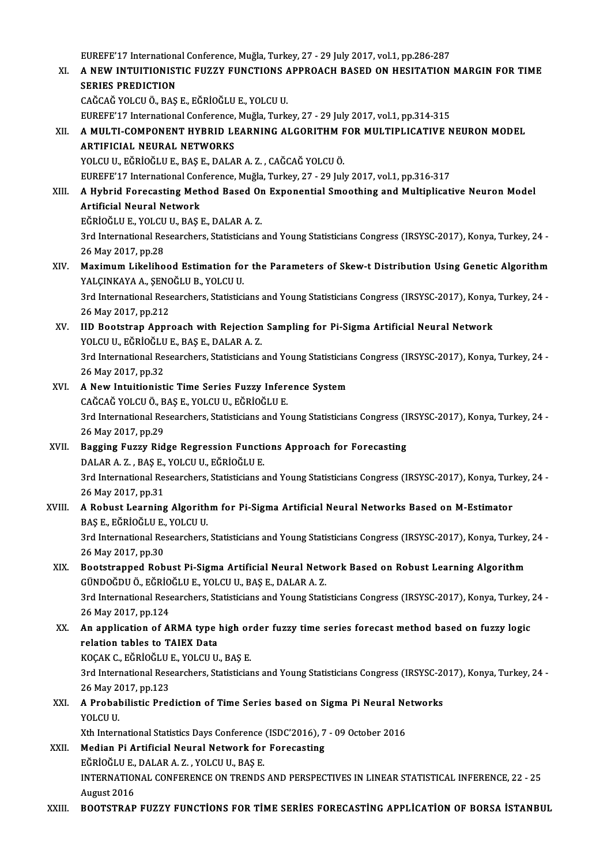EUREFE'17 International Conference, Muğla, Turkey, 27 - 29 July 2017, vol.1, pp.286-287 EUREFE'17 International Conference, Muğla, Turkey, 27 - 29 July 2017, vol.1, pp.286-287<br>XI. – A NEW INTUITIONISTIC FUZZY FUNCTIONS APPROACH BASED ON HESITATION MARGIN FOR TIME EUREFE'17 Internations<br>A NEW INTUITIONIST<br>SERIES PREDICTION A NEW INTUITIONISTIC FUZZY FUNCTIONS A<br>SERIES PREDICTION<br>CAĞCAĞ YOLCU Ö., BAŞ E., EĞRİOĞLU E., YOLCU U.<br>FUREEE'17 International Conference Muğle. Turk SERIES PREDICTION<br>CAĞCAĞ YOLCU Ö., BAŞ E., EĞRİOĞLU E., YOLCU U.<br>EUREFE'17 International Conference, Muğla, Turkey, 27 - 29 July 2017, vol.1, pp.314-315<br>A. MIII TI COMBONENT HYPPID I EABNINC ALCOPITHM EOP MIII TIPLICATIVE CAĞCAĞ YOLCU Ö., BAŞ E., EĞRİOĞLU E., YOLCU U.<br>EUREFE'17 International Conference, Muğla, Turkey, 27 - 29 July 2017, vol.1, pp.314-315<br>XII. A MULTI-COMPONENT HYBRID LEARNING ALGORITHM FOR MULTIPLICATIVE NEURON MODEL<br>AR EUREFE'17 International Conference,<br>A MULTI-COMPONENT HYBRID LI<br>ARTIFICIAL NEURAL NETWORKS<br>YOLCU U FČPIOČULE PASE DALA A MULTI-COMPONENT HYBRID LEARNING ALGORITHM F<br>ARTIFICIAL NEURAL NETWORKS<br>YOLCU U., EĞRİOĞLU E., BAŞ E., DALAR A. Z. , CAĞCAĞ YOLCU Ö.<br>FUREEE'17 International Conference Muğla Turkey, 27, -29 Jub ARTIFICIAL NEURAL NETWORKS<br>YOLCU U., EĞRİOĞLU E., BAŞ E., DALAR A. Z. , CAĞCAĞ YOLCU Ö.<br>EUREFE'17 International Conference, Muğla, Turkey, 27 - 29 July 2017, vol.1, pp.316-317 YOLCU U., EĞRİOĞLU E., BAŞ E., DALAR A. Z. , CAĞCAĞ YOLCU Ö.<br>EUREFE'17 International Conference, Muğla, Turkey, 27 - 29 July 2017, vol.1, pp.316-317<br>XIII. A Hybrid Forecasting Method Based On Exponential Smoothing and EUREFE'17 International Con<br>A Hybrid Forecasting Met<br>Artificial Neural Network<br>EČPIOČLUE VOLCUU PASI A Hybrid Forecasting Method Based Or<br>Artificial Neural Network<br>EĞRİOĞLU E., YOLCU U., BAŞ E., DALAR A. Z.<br><sup>2nd Intornational Bassarshars, Statisticions</sup> Artificial Neural Network<br>EĞRİOĞLU E., YOLCU U., BAŞ E., DALAR A. Z.<br>3rd International Researchers, Statisticians and Young Statisticians Congress (IRSYSC-2017), Konya, Turkey, 24 26May2017,pp.28 3rd International Researchers, Statisticians and Young Statisticians Congress (IRSYSC-2017), Konya, Turkey, 24<br>26 May 2017, pp.28<br>XIV. Maximum Likelihood Estimation for the Parameters of Skew-t Distribution Using Genetic A 26 May 2017, pp.28<br>Maximum Likelihood Estimation fo:<br>YALÇINKAYA A., ŞENOĞLU B., YOLCU U.<br><sup>2nd Intornational Pessenshore, Statistici</sup> Maximum Likelihood Estimation for the Parameters of Skew-t Distribution Using Genetic Algorithm<br>YALÇINKAYA A., ŞENOĞLU B., YOLCU U.<br>3rd International Researchers, Statisticians and Young Statisticians Congress (IRSYSC-2017 YALÇINKAYA A., ŞENC<br>3rd International Rese<br>26 May 2017, pp.212<br>IID Bootstran Annr 3rd International Researchers, Statisticians and Young Statisticians Congress (IRSYSC-2017), Konya,<br>26 May 2017, pp.212<br>XV. IID Bootstrap Approach with Rejection Sampling for Pi-Sigma Artificial Neural Network<br>YOLCU U. EĞR 26 May 2017, pp.212<br>IID Bootstrap Approach with Rejection<br>YOLCU U., EĞRİOĞLU E., BAŞ E., DALAR A. Z.<br><sup>2nd Intornational Bossarshars, Statisticions</sup> 3rd International Researchers, Statisticians and Young Statisticians Congress (IRSYSC-2017), Konya, Turkey, 24 -<br>26 May 2017, pp.32 YOLCU U., EĞRİOĞLU E., BAŞ E., DALAR A.Z. 3rd International Researchers, Statisticians and Young Statistician<br>26 May 2017, pp.32<br>XVI. A New Intuitionistic Time Series Fuzzy Inference System 26 May 2017, pp.32<br>**A New Intuitionistic Time Series Fuzzy Infer**<br>CAĞCAĞ YOLCU Ö., BAŞ E., YOLCU U., EĞRİOĞLU E.<br><sup>2rd International Besearsbers, Statisticians and Yo</sup> 3rd International Researchers, Statisticians and Young Statisticians Congress (IRSYSC-2017), Konya, Turkey, 24 -<br>26 May 2017, pp.29 CAĞCAĞ YOLCU Ö., BAS E., YOLCU U., EĞRİOĞLU E. 3rd International Researchers, Statisticians and Young Statisticians Congress (I<br>26 May 2017, pp.29<br>XVII. Bagging Fuzzy Ridge Regression Functions Approach for Forecasting<br>RAJ AR A Z - PAS E - VOLCU U EČPIOČU U E 26 May 2017, pp.29<br><mark>Bagging Fuzzy Ridge Regression Functi</mark><br>DALAR A. Z. , BAŞ E., YOLCU U., EĞRİOĞLU E.<br><sup>2nd Intornational Bessensbers, Statistisians a</sup> Bagging Fuzzy Ridge Regression Functions Approach for Forecasting<br>DALAR A. Z. , BAŞ E., YOLCU U., EĞRİOĞLU E.<br>3rd International Researchers, Statisticians and Young Statisticians Congress (IRSYSC-2017), Konya, Turkey, 24<br>2 DALAR A. Z. , BAŞ E.,<br>3rd International Re<br>26 May 2017, pp.31<br>A Bobust I sanning 3rd International Researchers, Statisticians and Young Statisticians Congress (IRSYSC-2017), Konya, Turl<br>26 May 2017, pp.31<br>XVIII. A Robust Learning Algorithm for Pi-Sigma Artificial Neural Networks Based on M-Estimator 26 May 2017, pp.31<br>A Robust Learning Algorithm for Pi-Sigma Artificial Neural Networks Based on M-Estimator<br>BAŞ E., EĞRİOĞLU E., YOLCU U. A Robust Learning Algorithm for Pi-Sigma Artificial Neural Networks Based on M-Estimator<br>BAŞ E., EĞRİOĞLU E., YOLCU U.<br>3rd International Researchers, Statisticians and Young Statisticians Congress (IRSYSC-2017), Konya, Tur BAŞ E., EĞRİOĞLU E.,<br>3rd International Re.<br>26 May 2017, pp.30<br>Boststrannad Bab 3rd International Researchers, Statisticians and Young Statisticians Congress (IRSYSC-2017), Konya, Turkey,<br>26 May 2017, pp.30<br>XIX. Bootstrapped Robust Pi-Sigma Artificial Neural Network Based on Robust Learning Algorithm<br> 26 May 2017, pp.30<br>Bootstrapped Robust Pi-Sigma Artificial Neural Netw<br>GÜNDOĞDU Ö., EĞRİOĞLU E., YOLCU U., BAŞ E., DALAR A. Z.<br><sup>2nd Intornational Bossarsbars, Statisticions and Young Stati</sup> Bootstrapped Robust Pi-Sigma Artificial Neural Network Based on Robust Learning Algorithm<br>GÜNDOĞDU Ö., EĞRİOĞLU E., YOLCU U., BAŞ E., DALAR A. Z.<br>3rd International Researchers, Statisticians and Young Statisticians Congres GÜNDOĞDU Ö., EĞRİOĞLU E., YOLCU U., BAŞ E., DALAR A. Z.<br>3rd International Researchers, Statisticians and Young Statisticians Congress (IRSYSC-2017), Konya, Turkey, 24<br>26 May 2017, pp.124 3rd International Researchers, Statisticians and Young Statisticians Congress (IRSYSC-2017), Konya, Turkey,<br>26 May 2017, pp.124<br>XX. An application of ARMA type high order fuzzy time series forecast method based on fuzzy lo 26 May 2017, pp.124<br>An application of ARMA type is<br>relation tables to TAIEX Data<br>KOCAK C. FÖRIOČLUE VOLCUU An application of ARMA type high or<br>relation tables to TAIEX Data<br>KOÇAK C., EĞRİOĞLU E., YOLCU U., BAŞ E.<br><sup>2nd</sup> International Besearshers, Statisticies relation tables to TAIEX Data<br>KOÇAK C., EĞRİOĞLU E., YOLCU U., BAŞ E.<br>3rd International Researchers, Statisticians and Young Statisticians Congress (IRSYSC-2017), Konya, Turkey, 24<br>26 May 2017, np.122 KOÇAK C., EĞRİOĞLU<br>3rd International Rese<br>26 May 2017, pp.123<br>A Probobilistic Pres 3rd International Researchers, Statisticians and Young Statisticians Congress (IRSYSC-20<br>26 May 2017, pp.123<br>XXI. A Probabilistic Prediction of Time Series based on Sigma Pi Neural Networks<br>2016 CLU 26 May 2<br>**A Probal**<br>YOLCU U.<br>Y<sup>th</sup> Intern A Probabilistic Prediction of Time Series based on Sigma Pi Neural Ne<br>YOLCU U.<br>Xth International Statistics Days Conference (ISDC'2016), 7 - 09 October 2016<br>Median Bi Artificial Neural Natuork for Forecasting YOLCU U.<br>Xth International Statistics Days Conference (ISDC'2016), 7<br>XXII. Median Pi Artificial Neural Network for Forecasting Xth International Statistics Days Conference (ISDC'2016), 7 - 09 October 2016 INTERNATIONAL CONFERENCE ON TRENDS AND PERSPECTIVES IN LINEAR STATISTICAL INFERENCE, 22 - 25<br>August 2016 EĞRİOĞLU E., DALAR A.Z., YOLCU U., BAŞ E. XXIII. BOOTSTRAP FUZZY FUNCTIONS FOR TIME SERIES FORECASTING APPLICATION OF BORSA İSTANBUL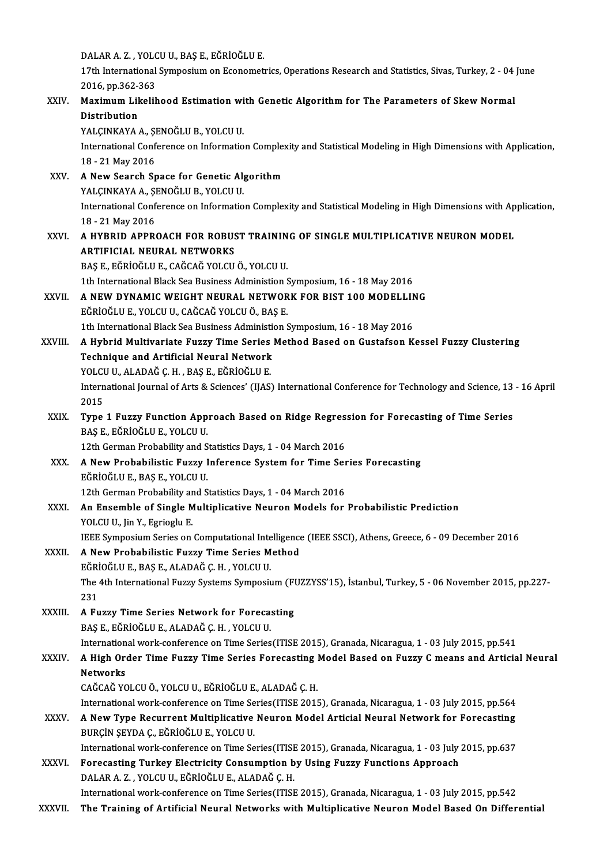DALAR A. Z. , YOLCU U., BAŞ E., EĞRİOĞLU E.<br>17th International Sumnesium en Esenemet

17th International Symposium on Econometrics, Operations Research and Statistics, Sivas, Turkey, 2 - 04 June<br>2016, pp.362-363 DALAR A. Z. , YOLC<br>17th International<br>2016, pp.362-363<br>Maximum Likelih 17th International Symposium on Econometrics, Operations Research and Statistics, Sivas, Turkey, 2 - 04<br>2016, pp.362-363<br>XXIV. Maximum Likelihood Estimation with Genetic Algorithm for The Parameters of Skew Normal

2016, pp.362-3<br>Maximum Lik<br>Distribution<br>VALCINKAVA Maximum Likelihood Estimation wi<br>Distribution<br>YALÇINKAYA A., ŞENOĞLU B., YOLCU U.<br>International Conference on Informatio

Distribution<br>YALÇINKAYA A., ŞENOĞLU B., YOLCU U.<br>International Conference on Information Complexity and Statistical Modeling in High Dimensions with Application,<br>18 . 31 May 2016 YALÇINKAYA A., ŞI<br>International Conf<br>18 - 21 May 2016<br>A Now Search Sr

18 - 21 May 2016<br>XXV. A New Search Space for Genetic Algorithm 18 - 21 May 2016<br>**A New Search Space for Genetic Al<sub>l</sub><br>YALÇINKAYA A., ŞENOĞLU B., YOLCU U.**<br>International Cenference en Informatio A New Search Space for Genetic Algorithm<br>YALÇINKAYA A., ŞENOĞLU B., YOLCU U.<br>International Conference on Information Complexity and Statistical Modeling in High Dimensions with Application,<br>18 . 31 May 2016 **YALÇINKAYA A., ŞI**<br>International Conf<br>18 - 21 May 2016<br>A. HYPPID APPP International Conference on Information Complexity and Statistical Modeling in High Dimensions with Ap<br>18 - 21 May 2016<br>XXVI. A HYBRID APPROACH FOR ROBUST TRAINING OF SINGLE MULTIPLICATIVE NEURON MODEL

# 18-21 May 2016<br>A HYBRID APPROACH FOR ROBUST TRAINING OF SINGLE MULTIPLICATIVE NEURON MODEL<br>ARTIFICIAL NEURAL NETWORKS

BAŞE.,EĞRİOĞLUE.,CAĞCAĞYOLCUÖ.,YOLCUU.

1th International Black Sea Business Administion Symposium, 16 - 18 May 2016

## BAŞ E., EĞRİOĞLU E., CAĞCAĞ YOLCU Ö., YOLCU U.<br>1th International Black Sea Business Administion Symposium, 16 - 18 May 2016<br>XXVII. A NEW DYNAMIC WEIGHT NEURAL NETWORK FOR BIST 100 MODELLING 1th International Black Sea Business Administion S<br>**A NEW DYNAMIC WEIGHT NEURAL NETWOR**<br>EĞRİOĞLU E., YOLCU U., CAĞCAĞ YOLCU Ö., BAŞ E.<br>1th International Black Sea Business Administion S A NEW DYNAMIC WEIGHT NEURAL NETWORK FOR BIST 100 MODELLINE<br>EĞRİOĞLU E., YOLCU U., CAĞCAĞ YOLCU Ö., BAŞ E.<br>1th International Black Sea Business Administion Symposium, 16 - 18 May 2016<br>A Hybrid Multivanista Eugey Tima Sarias

- EĞRİOĞLU E., YOLCU U., CAĞCAĞ YOLCU Ö., BAŞ E.<br>1th International Black Sea Business Administion Symposium, 16 18 May 2016<br>XXVIII. A Hybrid Multivariate Fuzzy Time Series Method Based on Gustafson Kessel Fuzzy Cluster 1th International Black Sea Business Administical Neural Network<br>A Hybrid Multivariate Fuzzy Time Series<br>Technique and Artificial Neural Network<br>YOLCU U. ALADAČ C. H. PAS E. FČPIOČULE A Hybrid Multivariate Fuzzy Time Series<br>Technique and Artificial Neural Network<br>YOLCU U., ALADAĞ Ç. H. , BAŞ E., EĞRİOĞLU E.<br>International Journal of Arts & Sciences' (UAS)
	-

Technique and Artificial Neural Network<br>YOLCU U., ALADAĞ Ç. H. , BAŞ E., EĞRİOĞLU E.<br>International Journal of Arts & Sciences' (IJAS) International Conference for Technology and Science, 13 - 16 April<br>2015 YOLCU<br>Intern<br>2015<br>Tune International Journal of Arts & Sciences' (IJAS) International Conference for Technology and Science, 13<br>2015<br>XXIX. Type 1 Fuzzy Function Approach Based on Ridge Regression for Forecasting of Time Series<br>BASE FÖRIOČLUE VOL

2015<br>Type 1 Fuzzy Function Approach Based on Ridge Regres<br>BAŞ E., EĞRİOĞLU E., YOLCU U.<br>12th German Probability and Statistics Days, 1 - 04 March 2016 Type 1 Fuzzy Function Approach Based on Ridge Regression for Forecasting of Time Series

- BAŞ E., EĞRİOĞLU E., YOLCU U.<br>12th German Probability and Statistics Days, 1 04 March 2016<br>XXX. A New Probabilistic Fuzzy Inference System for Time Series Forecasting<br>FÖRİOĞLU E. PAS E. VOLCU U. EĞRİOĞLUE.,BAŞE.,YOLCUU. A New Probabilistic Fuzzy Inference System for Time Ser<br>EĞRİOĞLU E., BAŞ E., YOLCU U.<br>12th German Probability and Statistics Days, 1 - 04 March 2016<br>An Ensemble of Single Multiplisative Neuven Medels for 12th German Probability and Statistics Days, 1 - 04 March 2016
- XXXI. An Ensemble of Single Multiplicative Neuron Models for Probabilistic Prediction<br>YOLCU U., Jin Y., Egrioglu E.

IEEE Symposium Series on Computational Intelligence (IEEE SSCI), Athens, Greece, 6 - 09 December 2016

### XXXII. A New Probabilistic Fuzzy Time Series Method IEEE Symposium Series on Computational Inte<br>A New Probabilistic Fuzzy Time Series M<br>EĞRİOĞLU E., BAŞ E., ALADAĞ Ç. H. , YOLCU U.<br>The 4th International Eury Systems Symposi:

The 4th International Fuzzy Systems Symposium (FUZZYSS'15), İstanbul, Turkey, 5 - 06 November 2015, pp.227-231 EĞRİ<br>The<br>231<br>A.Eu The 4th International Fuzzy Systems Symposium (F)<br>231<br>XXXIII. A Fuzzy Time Series Network for Forecasting<br>RAS E FÖRIQÕI UE ALADAČ C H, VOLCU U

231<br>A Fuzzy Time Series Network for Foreca:<br>BAŞ E., EĞRİOĞLU E., ALADAĞ Ç. H. , YOLCU U.<br>International work conference en Time Series BAŞ E., EĞRİOĞLU E., ALADAĞ Ç. H. , YOLCU U.<br>International work-conference on Time Series(ITISE 2015), Granada, Nicaragua, 1 - 03 July 2015, pp.541

### BAŞ E., EĞRİOĞLU E., ALADAĞ Ç. H. , YOLCU U.<br>International work-conference on Time Series (ITISE 2015), Granada, Nicaragua, 1 - 03 July 2015, pp.541<br>XXXIV. A High Order Time Fuzzy Time Series Forecasting Model Based on Internation<br>A High Oro<br>Networks<br>CAČCAČ VC A High Order Time Fuzzy Time Series Forecasting |<br>Networks<br>CAĞCAĞ YOLCU Ö., YOLCU U., EĞRİOĞLU E., ALADAĞ Ç. H.<br>International work conference en Time Series (ITISE 2011 Networks<br>CAĞCAĞ YOLCU Ö., YOLCU U., EĞRİOĞLU E., ALADAĞ Ç. H.<br>International work-conference on Time Series(ITISE 2015), Granada, Nicaragua, 1 - 03 July 2015, pp.564<br>A Now Tupe Becurrent Multiplicative Neuren Model Articial

CAĞCAĞ YOLCU Ö., YOLCU U., EĞRİOĞLU E., ALADAĞ Ç. H.<br>International work-conference on Time Series(ITISE 2015), Granada, Nicaragua, 1 - 03 July 2015, pp.564<br>XXXV. A New Type Recurrent Multiplicative Neuron Model Articia International work-conference on Time Se<br>A New Type Recurrent Multiplicative<br>BURÇİN ŞEYDA Ç., EĞRİOĞLU E., YOLCU U.<br>International work conference on Time Se A New Type Recurrent Multiplicative Neuron Model Articial Neural Network for Forecasting<br>BURÇİN ŞEYDA Ç., EĞRİOĞLU E., YOLCU U.<br>International work-conference on Time Series(ITISE 2015), Granada, Nicaragua, 1 - 03 July 2015

XXXVI. Forecasting Turkey Electricity Consumption by Using Fuzzy Functions Approach<br>DALAR A. Z., YOLCU U., EĞRİOĞLU E., ALADAĞ Ç. H. International work-conference on Time Series(ITISE<br>Forecasting Turkey Electricity Consumption b<br>DALAR A. Z. , YOLCU U., EĞRİOĞLU E., ALADAĞ Ç. H.<br>International work conference on Time Series(ITISE

International work-conference on Time Series(ITISE 2015), Granada, Nicaragua, 1 - 03 July 2015, pp.542

XXXVII. The Training of Artificial Neural Networks with Multiplicative Neuron Model Based On Differential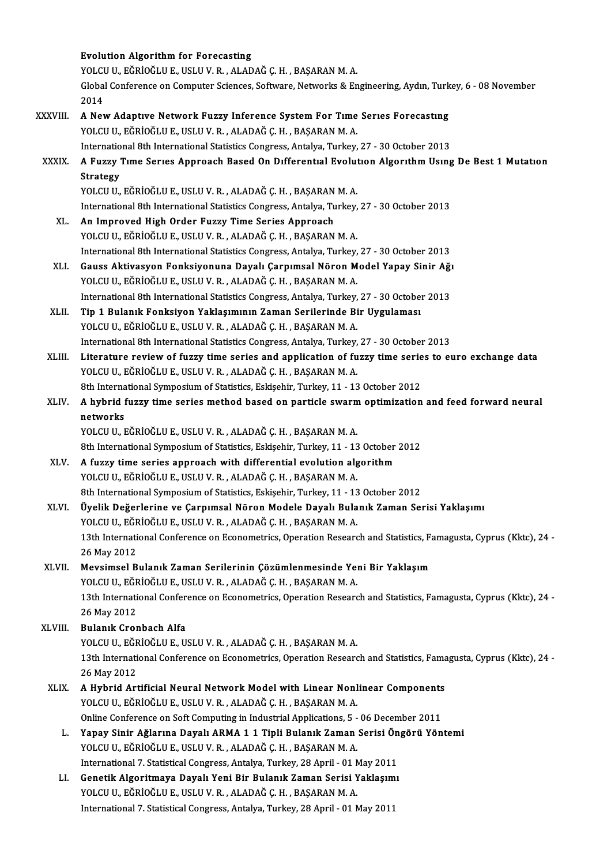|             | <b>Evolution Algorithm for Forecasting</b>                                                                                                             |
|-------------|--------------------------------------------------------------------------------------------------------------------------------------------------------|
|             | YOLCU U., EĞRİOĞLU E., USLU V. R., ALADAĞ Ç. H., BAŞARAN M. A.                                                                                         |
|             | Global Conference on Computer Sciences, Software, Networks & Engineering, Aydın, Turkey, 6 - 08 November<br>2014                                       |
| XXXVIII.    | A New Adaptive Network Fuzzy Inference System For Time Series Forecasting                                                                              |
|             | YOLCU U., EĞRİOĞLU E., USLU V. R., ALADAĞ Ç. H., BAŞARAN M. A.                                                                                         |
|             | International 8th International Statistics Congress, Antalya, Turkey, 27 - 30 October 2013                                                             |
| XXXIX.      | A Fuzzy Time Series Approach Based On Differential Evolution Algorithm Using De Best 1 Mutation<br><b>Strategy</b>                                     |
|             | YOLCU U., EĞRİOĞLU E., USLU V. R., ALADAĞ Ç. H., BAŞARAN M. A.                                                                                         |
|             | International 8th International Statistics Congress, Antalya, Turkey, 27 - 30 October 2013                                                             |
| XL.         | An Improved High Order Fuzzy Time Series Approach                                                                                                      |
|             | YOLCU U., EĞRİOĞLU E., USLU V. R., ALADAĞ Ç. H., BAŞARAN M. A.                                                                                         |
|             | International 8th International Statistics Congress, Antalya, Turkey, 27 - 30 October 2013                                                             |
| XLI.        | Gauss Aktivasyon Fonksiyonuna Dayalı Çarpımsal Nöron Model Yapay Sinir Ağı                                                                             |
|             | YOLCU U., EĞRİOĞLU E., USLU V. R., ALADAĞ Ç. H., BAŞARAN M. A.                                                                                         |
|             | International 8th International Statistics Congress, Antalya, Turkey, 27 - 30 October 2013                                                             |
| XLII.       | Tip 1 Bulanık Fonksiyon Yaklaşımının Zaman Serilerinde Bir Uygulaması                                                                                  |
|             | YOLCU U., EĞRİOĞLU E., USLU V. R., ALADAĞ Ç. H., BAŞARAN M. A.                                                                                         |
|             | International 8th International Statistics Congress, Antalya, Turkey, 27 - 30 October 2013                                                             |
| XLIII.      | Literature review of fuzzy time series and application of fuzzy time series to euro exchange data                                                      |
|             | YOLCU U., EĞRİOĞLU E., USLU V. R., ALADAĞ Ç. H., BAŞARAN M. A.                                                                                         |
|             | 8th International Symposium of Statistics, Eskişehir, Turkey, 11 - 13 October 2012                                                                     |
| XLIV.       | A hybrid fuzzy time series method based on particle swarm optimization and feed forward neural                                                         |
|             | networks                                                                                                                                               |
|             | YOLCU U., EĞRİOĞLU E., USLU V. R., ALADAĞ Ç. H., BAŞARAN M. A.                                                                                         |
|             | 8th International Symposium of Statistics, Eskişehir, Turkey, 11 - 13 October 2012                                                                     |
| XLV.        | A fuzzy time series approach with differential evolution algorithm                                                                                     |
|             | YOLCU U., EĞRİOĞLU E., USLU V. R., ALADAĞ Ç. H., BAŞARAN M. A.                                                                                         |
|             | 8th International Symposium of Statistics, Eskișehir, Turkey, 11 - 13 October 2012                                                                     |
| XLVI.       | Üyelik Değerlerine ve Çarpımsal Nöron Modele Dayalı Bulanık Zaman Serisi Yaklaşımı                                                                     |
|             | YOLCU U., EĞRİOĞLU E., USLU V. R., ALADAĞ Ç. H., BAŞARAN M. A.                                                                                         |
|             | 13th International Conference on Econometrics, Operation Research and Statistics, Famagusta, Cyprus (Kktc), 24 -                                       |
|             | 26 May 2012                                                                                                                                            |
| XLVII.      | Mevsimsel Bulanık Zaman Serilerinin Çözümlenmesinde Yeni Bir Yaklaşım                                                                                  |
|             | YOLCU U., EĞRİOĞLU E., USLU V. R., ALADAĞ Ç. H., BAŞARAN M. A.                                                                                         |
|             | 13th International Conference on Econometrics, Operation Research and Statistics, Famagusta, Cyprus (Kktc), 24 -                                       |
|             | 26 May 2012                                                                                                                                            |
| XLVIII.     | <b>Bulanik Cronbach Alfa</b>                                                                                                                           |
|             | YOLCU U., EĞRİOĞLU E., USLU V. R., ALADAĞ Ç. H., BAŞARAN M. A.                                                                                         |
|             | 13th International Conference on Econometrics, Operation Research and Statistics, Famagusta, Cyprus (Kktc), 24 -                                       |
|             | 26 May 2012                                                                                                                                            |
| <b>XLIX</b> | A Hybrid Artificial Neural Network Model with Linear Nonlinear Components                                                                              |
|             | YOLCU U., EĞRİOĞLU E., USLU V. R., ALADAĞ Ç. H., BAŞARAN M. A.<br>Online Conference on Soft Computing in Industrial Applications, 5 - 06 December 2011 |
| L.          | Yapay Sinir Ağlarına Dayalı ARMA 1 1 Tipli Bulanık Zaman Serisi Öngörü Yöntemi                                                                         |
|             | YOLCU U., EĞRİOĞLU E., USLU V. R., ALADAĞ Ç. H., BAŞARAN M. A.                                                                                         |
|             | International 7. Statistical Congress, Antalya, Turkey, 28 April - 01 May 2011                                                                         |
| LI.         | Genetik Algoritmaya Dayalı Yeni Bir Bulanık Zaman Serisi Yaklaşımı                                                                                     |
|             | YOLCU U., EĞRİOĞLU E., USLU V. R., ALADAĞ Ç. H., BAŞARAN M. A.                                                                                         |
|             | International 7. Statistical Congress, Antalya, Turkey, 28 April - 01 May 2011                                                                         |
|             |                                                                                                                                                        |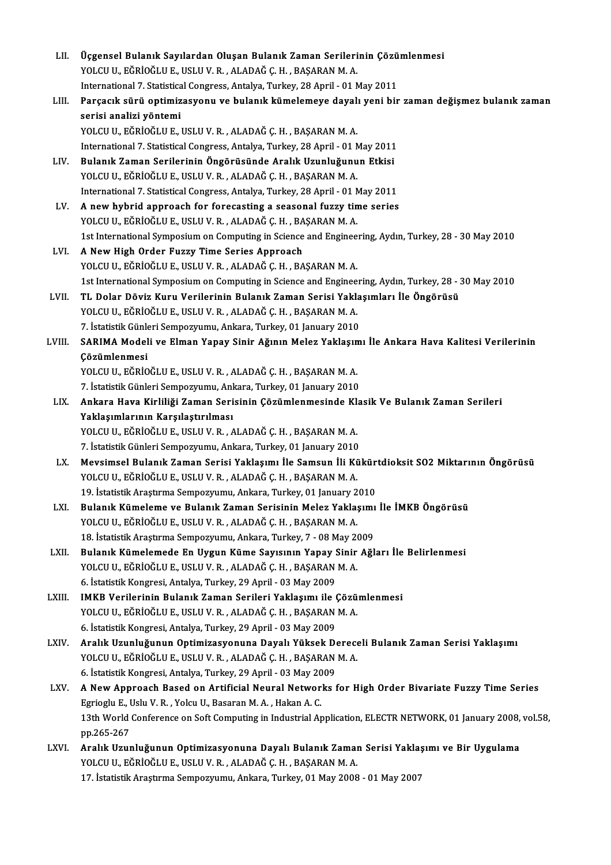| LII.   | Üçgensel Bulanık Sayılardan Oluşan Bulanık Zaman Serilerinin Çözümlenmesi                                   |
|--------|-------------------------------------------------------------------------------------------------------------|
|        | YOLCU U., EĞRİOĞLU E., USLU V. R., ALADAĞ Ç. H., BAŞARAN M. A.                                              |
|        | International 7. Statistical Congress, Antalya, Turkey, 28 April - 01 May 2011                              |
| LIII.  | Parçacık sürü optimizasyonu ve bulanık kümelemeye dayalı yeni bir zaman değişmez bulanık zaman              |
|        | serisi analizi yöntemi                                                                                      |
|        | YOLCU U., EĞRİOĞLU E., USLU V. R., ALADAĞ Ç. H., BAŞARAN M. A.                                              |
|        | International 7. Statistical Congress, Antalya, Turkey, 28 April - 01 May 2011                              |
| LIV.   | Bulanık Zaman Serilerinin Öngörüsünde Aralık Uzunluğunun Etkisi                                             |
|        | YOLCU U., EĞRİOĞLU E., USLU V. R., ALADAĞ Ç. H., BAŞARAN M. A.                                              |
|        | International 7. Statistical Congress, Antalya, Turkey, 28 April - 01 May 2011                              |
| LV.    | A new hybrid approach for forecasting a seasonal fuzzy time series                                          |
|        | YOLCU U., EĞRİOĞLU E., USLU V. R., ALADAĞ Ç. H., BAŞARAN M. A.                                              |
|        | 1st International Symposium on Computing in Science and Engineering, Aydın, Turkey, 28 - 30 May 2010        |
| LVI.   | A New High Order Fuzzy Time Series Approach                                                                 |
|        | YOLCU U., EĞRİOĞLU E., USLU V. R., ALADAĞ Ç. H., BAŞARAN M. A.                                              |
|        | 1st International Symposium on Computing in Science and Engineering, Aydın, Turkey, 28 - 30 May 2010        |
| LVII.  | TL Dolar Döviz Kuru Verilerinin Bulanık Zaman Serisi Yaklaşımları İle Öngörüsü                              |
|        | YOLCU U., EĞRİOĞLU E., USLU V. R., ALADAĞ Ç. H., BAŞARAN M. A.                                              |
|        | 7. İstatistik Günleri Sempozyumu, Ankara, Turkey, 01 January 2010                                           |
| LVIII. | SARIMA Modeli ve Elman Yapay Sinir Ağının Melez Yaklaşımı İle Ankara Hava Kalitesi Verilerinin              |
|        | Çözümlenmesi                                                                                                |
|        | YOLCU U., EĞRİOĞLU E., USLU V. R., ALADAĞ Ç. H., BAŞARAN M. A.                                              |
|        | 7. İstatistik Günleri Sempozyumu, Ankara, Turkey, 01 January 2010                                           |
| LIX.   | Ankara Hava Kirliliği Zaman Serisinin Çözümlenmesinde Klasik Ve Bulanık Zaman Serileri                      |
|        | Yaklaşımlarının Karşılaştırılması<br>YOLCU U., EĞRİOĞLU E., USLU V. R., ALADAĞ Ç. H., BAŞARAN M. A.         |
|        | 7. İstatistik Günleri Sempozyumu, Ankara, Turkey, 01 January 2010                                           |
| LX.    | Mevsimsel Bulanık Zaman Serisi Yaklaşımı İle Samsun İli Kükürtdioksit SO2 Miktarının Öngörüsü               |
|        | YOLCU U., EĞRİOĞLU E., USLU V. R. , ALADAĞ C. H. , BASARAN M. A.                                            |
|        | 19. İstatistik Araştırma Sempozyumu, Ankara, Turkey, 01 January 2010                                        |
| LXI.   | Bulanık Kümeleme ve Bulanık Zaman Serisinin Melez Yaklaşımı İle İMKB Öngörüsü                               |
|        | YOLCU U., EĞRİOĞLU E., USLU V. R., ALADAĞ Ç. H., BAŞARAN M. A.                                              |
|        | 18. İstatistik Araştırma Sempozyumu, Ankara, Turkey, 7 - 08 May 2009                                        |
| LXII.  | Bulanık Kümelemede En Uygun Küme Sayısının Yapay Sinir Ağları İle Belirlenmesi                              |
|        | YOLCU U., EĞRİOĞLU E., USLU V. R., ALADAĞ Ç. H., BAŞARAN M. A.                                              |
|        | 6. İstatistik Kongresi, Antalya, Turkey, 29 April - 03 May 2009                                             |
| LXIII. | IMKB Verilerinin Bulanık Zaman Serileri Yaklaşımı ile Çözümlenmesi                                          |
|        | YOLCU U., EĞRİOĞLU E., USLU V. R., ALADAĞ Ç. H., BAŞARAN M. A.                                              |
|        | 6. İstatistik Kongresi, Antalya, Turkey, 29 April - 03 May 2009                                             |
| LXIV.  | Aralık Uzunluğunun Optimizasyonuna Dayalı Yüksek Dereceli Bulanık Zaman Serisi Yaklaşımı                    |
|        | YOLCU U., EĞRİOĞLU E., USLU V. R., ALADAĞ Ç. H., BAŞARAN M. A.                                              |
|        | 6. İstatistik Kongresi, Antalya, Turkey, 29 April - 03 May 2009                                             |
| LXV.   | A New Approach Based on Artificial Neural Networks for High Order Bivariate Fuzzy Time Series               |
|        | Egrioglu E., Uslu V. R., Yolcu U., Basaran M. A., Hakan A. C.                                               |
|        | 13th World Conference on Soft Computing in Industrial Application, ELECTR NETWORK, 01 January 2008, vol.58, |
|        | pp 265-267                                                                                                  |
| LXVI.  | Aralık Uzunluğunun Optimizasyonuna Dayalı Bulanık Zaman Serisi Yaklaşımı ve Bir Uygulama                    |
|        | YOLCU U., EĞRİOĞLU E., USLU V. R., ALADAĞ Ç. H., BAŞARAN M. A.                                              |
|        | 17. İstatistik Araştırma Sempozyumu, Ankara, Turkey, 01 May 2008 - 01 May 2007                              |